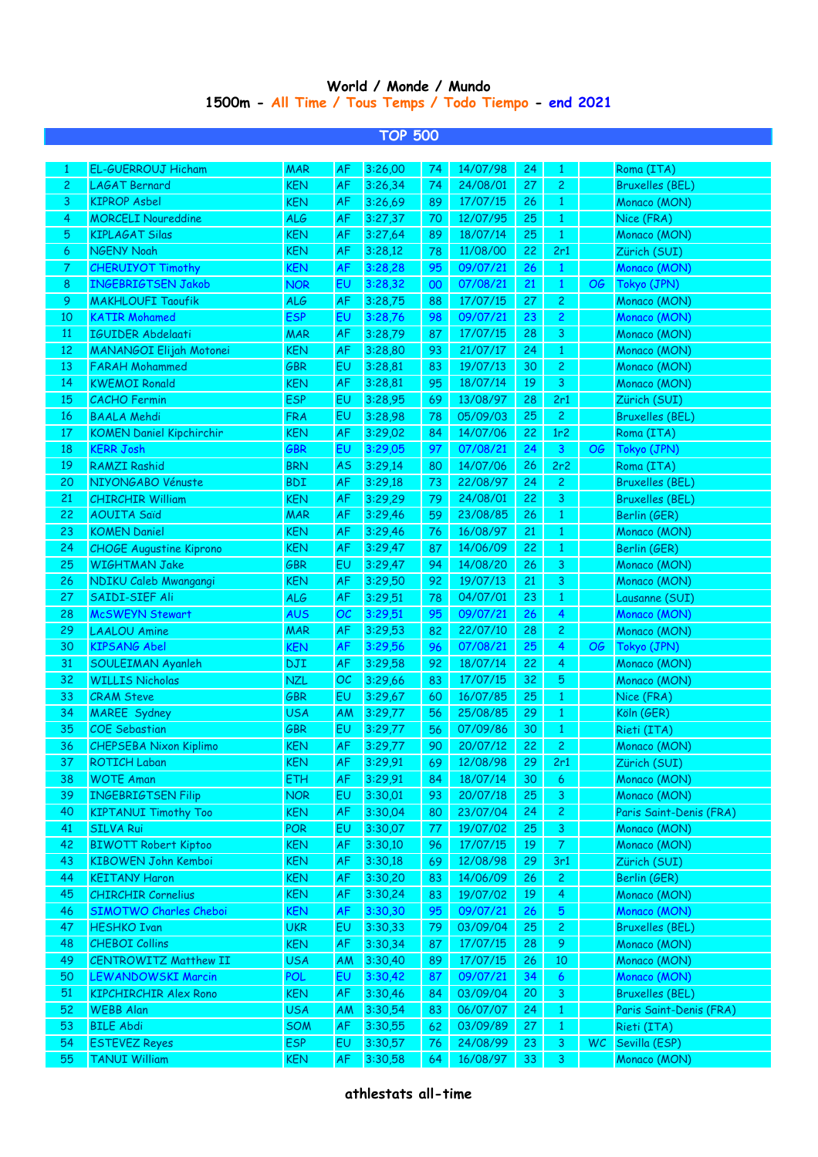## **1500m - All Time / Tous Temps / Todo Tiempo - end 2021 World / Monde / Mundo**

**TOP 500**

|                | <b>I OF JUU</b>                 |            |           |         |    |          |    |                |           |                         |  |
|----------------|---------------------------------|------------|-----------|---------|----|----------|----|----------------|-----------|-------------------------|--|
| $\mathbf{1}$   | <b>EL-GUERROUJ Hicham</b>       | <b>MAR</b> | <b>AF</b> | 3:26,00 | 74 | 14/07/98 | 24 | $\mathbf{1}$   |           | Roma (ITA)              |  |
| $\overline{c}$ | <b>LAGAT Bernard</b>            | <b>KEN</b> | <b>AF</b> | 3:26,34 | 74 | 24/08/01 | 27 | $\overline{c}$ |           | <b>Bruxelles (BEL)</b>  |  |
| 3              | <b>KIPROP Asbel</b>             | <b>KEN</b> | AF        | 3:26,69 | 89 | 17/07/15 | 26 | $\overline{1}$ |           | Monaco (MON)            |  |
| 4              | <b>MORCELI Noureddine</b>       | <b>ALG</b> | AF        | 3:27,37 | 70 | 12/07/95 | 25 | $\overline{1}$ |           | Nice (FRA)              |  |
| 5              | <b>KIPLAGAT Silas</b>           | <b>KEN</b> | <b>AF</b> | 3:27,64 | 89 | 18/07/14 | 25 | $\overline{1}$ |           | Monaco (MON)            |  |
| 6              | <b>NGENY Noah</b>               | <b>KEN</b> | AF        | 3:28,12 | 78 | 11/08/00 | 22 | 2r1            |           | Zürich (SUI)            |  |
| 7              | <b>CHERUIYOT Timothy</b>        | KEN        | AF        | 3:28,28 | 95 | 09/07/21 | 26 | $\mathbf{1}$   |           | Monaco (MON)            |  |
| 8              | <b>INGEBRIGTSEN Jakob</b>       | <b>NOR</b> | EU        | 3:28,32 | 00 | 07/08/21 | 21 | $\mathbf{1}$   | OG        | Tokyo (JPN)             |  |
| 9              | <b>MAKHLOUFI Taoufik</b>        | <b>ALG</b> | AF        | 3:28,75 | 88 | 17/07/15 | 27 | $\overline{2}$ |           | Monaco (MON)            |  |
| 10             | <b>KATIR Mohamed</b>            | <b>ESP</b> | EU        | 3:28,76 | 98 | 09/07/21 | 23 | $\overline{c}$ |           | Monaco (MON)            |  |
| 11             | IGUIDER Abdelaati               | <b>MAR</b> | AF        | 3:28,79 | 87 | 17/07/15 | 28 | $\overline{3}$ |           | Monaco (MON)            |  |
| 12             | <b>MANANGOI Elijah Motonei</b>  | <b>KEN</b> | AF        | 3:28,80 | 93 | 21/07/17 | 24 | $1\,$          |           | Monaco (MON)            |  |
| 13             | <b>FARAH Mohammed</b>           | GBR        | EU        | 3:28,81 | 83 | 19/07/13 | 30 | $\mathbf{2}$   |           | Monaco (MON)            |  |
| 14             | <b>KWEMOI Ronald</b>            | <b>KEN</b> | AF        | 3:28,81 | 95 | 18/07/14 | 19 | $\overline{3}$ |           | Monaco (MON)            |  |
| 15             | <b>CACHO</b> Fermin             | <b>ESP</b> | EU        | 3:28,95 | 69 | 13/08/97 | 28 | 2r1            |           | Zürich (SUI)            |  |
| 16             | <b>BAALA Mehdi</b>              | <b>FRA</b> | EU        | 3:28,98 | 78 | 05/09/03 | 25 | $\overline{2}$ |           | <b>Bruxelles (BEL)</b>  |  |
| 17             | <b>KOMEN Daniel Kipchirchir</b> | <b>KEN</b> | AF        | 3:29,02 | 84 | 14/07/06 | 22 | 1r2            |           | Roma (ITA)              |  |
| 18             | <b>KERR Josh</b>                | GBR        | EU        | 3:29,05 | 97 | 07/08/21 | 24 | $\overline{3}$ | OG        | Tokyo (JPN)             |  |
| 19             | <b>RAMZI Rashid</b>             | <b>BRN</b> | <b>AS</b> | 3:29,14 | 80 | 14/07/06 | 26 | 2r2            |           | Roma (ITA)              |  |
| 20             | NIYONGABO Vénuste               | <b>BDI</b> | AF        | 3:29,18 | 73 | 22/08/97 | 24 | $\overline{2}$ |           | <b>Bruxelles (BEL)</b>  |  |
| 21             | <b>CHIRCHIR William</b>         | <b>KEN</b> | AF        | 3:29,29 | 79 | 24/08/01 | 22 | $\overline{3}$ |           | <b>Bruxelles (BEL)</b>  |  |
| 22             | <b>AOUITA Saïd</b>              | <b>MAR</b> | AF        | 3:29,46 | 59 | 23/08/85 | 26 | $1\,$          |           | Berlin (GER)            |  |
| 23             | <b>KOMEN Daniel</b>             | <b>KEN</b> | AF        | 3:29,46 | 76 | 16/08/97 | 21 | $1\,$          |           | Monaco (MON)            |  |
| 24             | <b>CHOGE Augustine Kiprono</b>  | <b>KEN</b> | AF        | 3:29,47 | 87 | 14/06/09 | 22 | $\mathbf{1}$   |           | Berlin (GER)            |  |
| 25             | <b>WIGHTMAN Jake</b>            | GBR        | EU        | 3:29,47 | 94 | 14/08/20 | 26 | $\overline{3}$ |           | Monaco (MON)            |  |
| 26             | NDIKU Caleb Mwangangi           | <b>KEN</b> | AF        | 3:29,50 | 92 | 19/07/13 | 21 | $\overline{3}$ |           | Monaco (MON)            |  |
| 27             | SAIDI-SIEF Ali                  | <b>ALG</b> | AF        | 3:29,51 | 78 | 04/07/01 | 23 | $1\,$          |           | Lausanne (SUI)          |  |
| 28             | <b>McSWEYN Stewart</b>          | <b>AUS</b> | OC        | 3:29,51 | 95 | 09/07/21 | 26 | $\overline{4}$ |           | Monaco (MON)            |  |
| 29             | <b>LAALOU Amine</b>             | <b>MAR</b> | AF        | 3:29,53 | 82 | 22/07/10 | 28 | $\mathbf{2}$   |           | Monaco (MON)            |  |
| 30             | <b>KIPSANG Abel</b>             | <b>KEN</b> | AF        | 3:29,56 | 96 | 07/08/21 | 25 | $\overline{4}$ | OG        | Tokyo (JPN)             |  |
| 31             | SOULEIMAN Ayanleh               | DJI        | AF        | 3:29,58 | 92 | 18/07/14 | 22 | $\overline{4}$ |           | Monaco (MON)            |  |
| 32             | <b>WILLIS Nicholas</b>          | <b>NZL</b> | OC        | 3:29,66 | 83 | 17/07/15 | 32 | $\overline{5}$ |           | Monaco (MON)            |  |
| 33             | <b>CRAM Steve</b>               | GBR        | EU        | 3:29,67 | 60 | 16/07/85 | 25 | $1\,$          |           | Nice (FRA)              |  |
| 34             | MAREE Sydney                    | <b>USA</b> | AM        | 3:29,77 | 56 | 25/08/85 | 29 | $1\,$          |           | Köln (GER)              |  |
| 35             | <b>COE</b> Sebastian            | GBR        | EU        | 3:29,77 | 56 | 07/09/86 | 30 | $\mathbf{1}$   |           | Rieti (ITA)             |  |
| 36             | <b>CHEPSEBA Nixon Kiplimo</b>   | <b>KEN</b> | AF        | 3:29,77 | 90 | 20/07/12 | 22 | $\overline{c}$ |           | Monaco (MON)            |  |
| 37             | <b>ROTICH Laban</b>             | <b>KEN</b> | AF        | 3:29,91 | 69 | 12/08/98 | 29 | 2r1            |           | Zürich (SUI)            |  |
| 38             | <b>WOTE Aman</b>                | <b>ETH</b> | <b>AF</b> | 3:29,91 | 84 | 18/07/14 | 30 | 6              |           | Monaco (MON)            |  |
| 39             | <b>INGEBRIGTSEN Filip</b>       | <b>NOR</b> | EU        | 3:30,01 | 93 | 20/07/18 | 25 | 3              |           | Monaco (MON)            |  |
| 40             | <b>KIPTANUI Timothy Too</b>     | <b>KEN</b> | AF        | 3:30,04 | 80 | 23/07/04 | 24 | $\overline{c}$ |           | Paris Saint-Denis (FRA) |  |
| 41             | <b>SILVA Rui</b>                | <b>POR</b> | EU        | 3:30,07 | 77 | 19/07/02 | 25 | 3              |           | Monaco (MON)            |  |
| 42             | <b>BIWOTT Robert Kiptoo</b>     | <b>KEN</b> | AF        | 3:30,10 | 96 | 17/07/15 | 19 | $\overline{7}$ |           | Monaco (MON)            |  |
| 43             | <b>KIBOWEN John Kemboi</b>      | <b>KEN</b> | AF        | 3:30,18 | 69 | 12/08/98 | 29 | 3r1            |           | Zürich (SUI)            |  |
| 44             | <b>KEITANY Haron</b>            | <b>KEN</b> | AF        | 3:30,20 | 83 | 14/06/09 | 26 | $\overline{c}$ |           | Berlin (GER)            |  |
| 45             | <b>CHIRCHIR Cornelius</b>       | <b>KEN</b> | AF        | 3:30,24 | 83 | 19/07/02 | 19 | $\overline{4}$ |           | Monaco (MON)            |  |
| 46             | <b>SIMOTWO Charles Cheboi</b>   | <b>KEN</b> | AF        | 3:30,30 | 95 | 09/07/21 | 26 | $\overline{5}$ |           | Monaco (MON)            |  |
| 47             | <b>HESHKO Ivan</b>              | <b>UKR</b> | EU        | 3:30,33 | 79 | 03/09/04 | 25 | $\overline{c}$ |           | <b>Bruxelles (BEL)</b>  |  |
| 48             | <b>CHEBOI Collins</b>           | <b>KEN</b> | AF        | 3:30,34 | 87 | 17/07/15 | 28 | 9              |           | Monaco (MON)            |  |
| 49             | <b>CENTROWITZ Matthew II</b>    | <b>USA</b> | AM        | 3:30,40 | 89 | 17/07/15 | 26 | $10\,$         |           | Monaco (MON)            |  |
| 50             | <b>LEWANDOWSKI Marcin</b>       | <b>POL</b> | EU        | 3:30,42 | 87 | 09/07/21 | 34 | $\epsilon$     |           | Monaco (MON)            |  |
| 51             | <b>KIPCHIRCHIR Alex Rono</b>    | <b>KEN</b> | AF        | 3:30,46 | 84 | 03/09/04 | 20 | 3              |           | <b>Bruxelles (BEL)</b>  |  |
| 52             | <b>WEBB Alan</b>                | <b>USA</b> | AM        | 3:30,54 | 83 | 06/07/07 | 24 | $\mathbf{1}$   |           | Paris Saint-Denis (FRA) |  |
| 53             | <b>BILE Abdi</b>                | <b>SOM</b> | AF        | 3:30,55 | 62 | 03/09/89 | 27 | $\mathbf{1}$   |           | Rieti (ITA)             |  |
| 54             | <b>ESTEVEZ Reyes</b>            | <b>ESP</b> | EU        | 3:30,57 | 76 | 24/08/99 | 23 | $\mathsf{3}$   | <b>WC</b> | Sevilla (ESP)           |  |
| 55             | <b>TANUI William</b>            | <b>KEN</b> | <b>AF</b> | 3:30,58 | 64 | 16/08/97 | 33 | 3              |           | Monaco (MON)            |  |
|                |                                 |            |           |         |    |          |    |                |           |                         |  |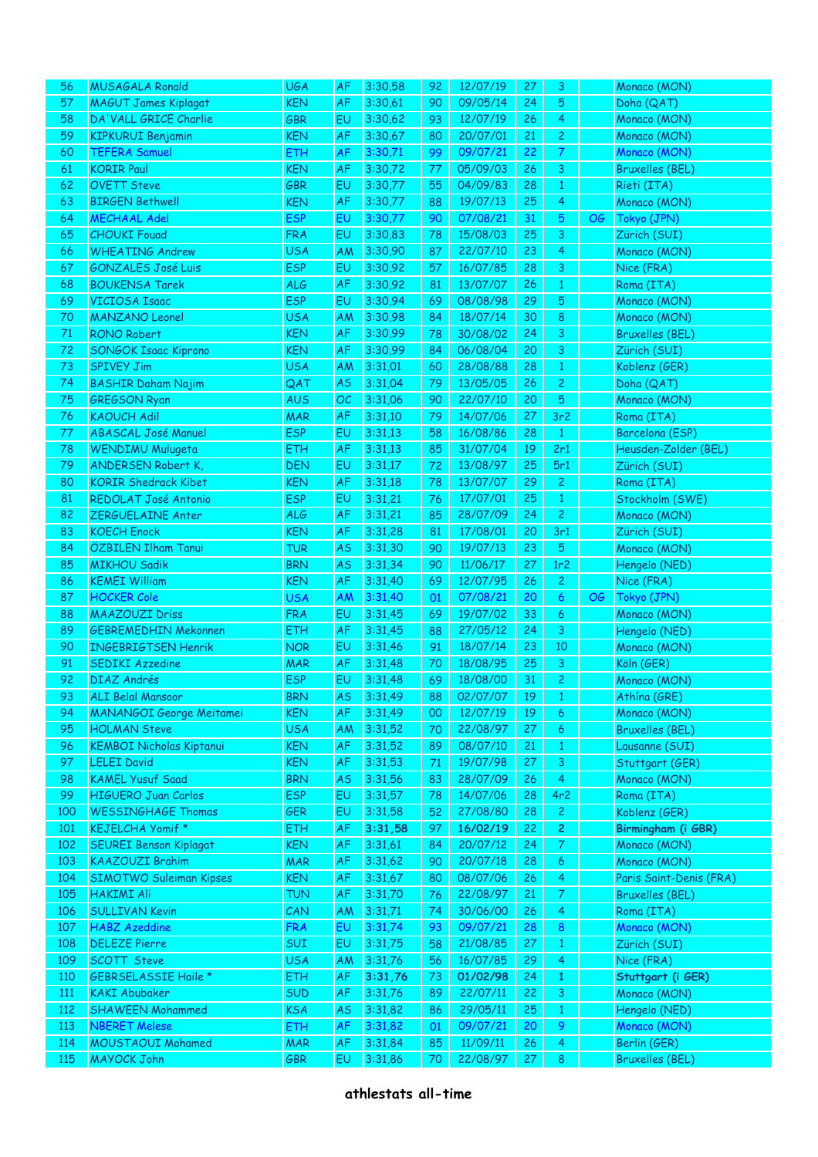| 56         | <b>MUSAGALA Ronald</b>                         | <b>UGA</b>        | AF              | 3:30,58            | 92       | 12/07/19             | 27       | 3                                |    | Monaco (MON)                           |
|------------|------------------------------------------------|-------------------|-----------------|--------------------|----------|----------------------|----------|----------------------------------|----|----------------------------------------|
| 57         | <b>MAGUT James Kiplagat</b>                    | <b>KEN</b>        | AF              | 3:30,61            | 90       | 09/05/14             | 24       | 5                                |    | Doha (QAT)                             |
| 58         | DA'VALL GRICE Charlie                          | <b>GBR</b>        | <b>EU</b>       | 3:30,62            | 93       | 12/07/19             | 26       | 4                                |    | Monaco (MON)                           |
| 59         | <b>KIPKURUI Benjamin</b>                       | <b>KEN</b>        | AF              | 3:30,67            | 80       | 20/07/01             | 21       | $\overline{c}$                   |    | Monaco (MON)                           |
| 60         | <b>TEFERA Samuel</b>                           |                   | AF              | 3:30,71            | 99       | 09/07/21             | 22       | 7                                |    | Monaco (MON)                           |
|            |                                                | <b>ETH</b>        |                 |                    |          |                      |          |                                  |    |                                        |
| 61         | <b>KORIR Paul</b>                              | <b>KEN</b>        | AF              | 3:30,72            | 77       | 05/09/03             | 26       | 3                                |    | <b>Bruxelles (BEL)</b>                 |
| 62         | <b>OVETT Steve</b>                             | <b>GBR</b>        | EU              | 3:30,77            | 55       | 04/09/83             | 28       | $\mathbf{1}$                     |    | Rieti (ITA)                            |
| 63         | <b>BIRGEN Bethwell</b>                         | <b>KEN</b>        | AF              | 3:30,77            | 88       | 19/07/13             | 25       | 4                                |    | Monaco (MON)                           |
| 64         | <b>MECHAAL Adel</b>                            | <b>ESP</b>        | <b>EU</b>       | 3:30,77            | 90       | 07/08/21             | 31       | 5                                | OG | Tokyo (JPN)                            |
| 65         | <b>CHOUKI Fouad</b>                            | <b>FRA</b>        | EU              | 3:30,83            | 78       | 15/08/03             | 25       | 3                                |    | Zürich (SUI)                           |
| 66         | <b>WHEATING Andrew</b>                         | <b>USA</b>        | AM              | 3:30,90            | 87       | 22/07/10             | 23       | 4                                |    | Monaco (MON)                           |
| 67         | <b>GONZALES José Luis</b>                      | <b>ESP</b>        | <b>EU</b>       | 3:30,92            | 57       | 16/07/85             | 28       | 3                                |    | Nice (FRA)                             |
| 68         | <b>BOUKENSA Tarek</b>                          | <b>ALG</b>        | AF              | 3:30,92            | 81       | 13/07/07             | 26       | $\mathbf{1}$                     |    | Roma (ITA)                             |
| 69         | <b>VICIOSA Isaac</b>                           | <b>ESP</b>        | EU              | 3:30,94            | 69       | 08/08/98             | 29       | 5                                |    | Monaco (MON)                           |
| $70\,$     | <b>MANZANO Leonel</b>                          | <b>USA</b>        | AM              | 3:30,98            | 84       | 18/07/14             | 30       | 8                                |    | Monaco (MON)                           |
| 71         | <b>RONO Robert</b>                             | <b>KEN</b>        | AF              | 3:30,99            | 78       | 30/08/02             | 24       | 3                                |    | <b>Bruxelles (BEL)</b>                 |
|            | <b>SONGOK Isaac Kiprono</b>                    | <b>KEN</b>        |                 |                    |          |                      |          |                                  |    |                                        |
| 72         |                                                |                   | AF              | 3:30,99            | 84       | 06/08/04             | 20       | 3                                |    | Zürich (SUI)                           |
| 73         | <b>SPIVEY Jim</b>                              | <b>USA</b>        | AM              | 3:31,01            | 60       | 28/08/88             | 28       | $\mathbf{1}$                     |    | Koblenz (GER)                          |
| 74         | <b>BASHIR Daham Najim</b>                      | QAT               | <b>AS</b>       | 3:31,04            | 79       | 13/05/05             | 26       | $\overline{c}$                   |    | Doha (QAT)                             |
| 75         | <b>GREGSON Ryan</b>                            | <b>AUS</b>        | OC              | 3:31,06            | 90       | 22/07/10             | 20       | 5                                |    | Monaco (MON)                           |
| 76         | <b>KAOUCH Adil</b>                             | <b>MAR</b>        | AF              | 3:31,10            | 79       | 14/07/06             | 27       | 3r <sub>2</sub>                  |    | Roma (ITA)                             |
| 77         | <b>ABASCAL José Manuel</b>                     | <b>ESP</b>        | EU              | 3:31,13            | 58       | 16/08/86             | 28       | $\mathbf{1}$                     |    | Barcelona (ESP)                        |
| 78         | WENDIMU Mulugeta                               | <b>ETH</b>        | AF              | 3:31,13            | 85       | 31/07/04             | 19       | 2r1                              |    | Heusden-Zolder (BEL)                   |
| 79         | <b>ANDERSEN Robert K,</b>                      | <b>DEN</b>        | EU              | 3:31,17            | 72       | 13/08/97             | 25       | 5r1                              |    | Zürich (SUI)                           |
| 80         | <b>KORIR Shedrack Kibet</b>                    | <b>KEN</b>        | AF              | 3:31,18            | 78       | 13/07/07             | 29       | $\mathbf{2}$                     |    | Roma (ITA)                             |
| 81         | REDOLAT José Antonio                           | <b>ESP</b>        | EU              | 3:31,21            | 76       | 17/07/01             | 25       | $\mathbf{1}$                     |    | Stockholm (SWE)                        |
| 82         | ZERGUELAINE Anter                              | <b>ALG</b>        | AF              | 3:31,21            | 85       | 28/07/09             | 24       | $\overline{c}$                   |    | Monaco (MON)                           |
|            |                                                |                   |                 |                    |          |                      |          | 3r1                              |    |                                        |
| 83         | <b>KOECH Enock</b>                             | <b>KEN</b>        | AF              | 3:31,28            | 81       | 17/08/01             | 20       |                                  |    | Zürich (SUI)                           |
| 84         | ÖZBILEN Ilham Tanui                            | <b>TUR</b>        | <b>AS</b>       | 3:31,30            | 90       | 19/07/13             | 23       | $\overline{5}$                   |    | Monaco (MON)                           |
| 85         | <b>MIKHOU Sadik</b>                            | <b>BRN</b>        | <b>AS</b>       | 3:31,34            | 90       | 11/06/17             | 27       | 1r2                              |    | Hengelo (NED)                          |
| 86         | <b>KEMEI William</b>                           | <b>KEN</b>        | AF              | 3:31,40            | 69       | 12/07/95             | 26       | $\overline{c}$                   |    | Nice (FRA)                             |
| 87         | <b>HOCKER Cole</b>                             | <b>USA</b>        | AM              | 3:31,40            | 01       | 07/08/21             | 20       | 6                                | OG | Tokyo (JPN)                            |
| 88         | <b>MAAZOUZI Driss</b>                          | <b>FRA</b>        | EU              | 3:31,45            | 69       | 19/07/02             | 33       | 6                                |    | Monaco (MON)                           |
| 89         | <b>GEBREMEDHIN Mekonnen</b>                    | <b>ETH</b>        | AF              | 3:31,45            | 88       | 27/05/12             | 24       | 3                                |    | Hengelo (NED)                          |
| 90         | <b>INGEBRIGTSEN Henrik</b>                     | <b>NOR</b>        | EU              | 3:31,46            | 91       | 18/07/14             | 23       | 10                               |    | Monaco (MON)                           |
| 91         | <b>SEDIKI Azzedine</b>                         | <b>MAR</b>        | AF              | 3:31,48            | 70       | 18/08/95             | 25       | 3                                |    | Köln (GER)                             |
| 92         | <b>DIAZ Andrés</b>                             | <b>ESP</b>        | <b>EU</b>       | 3:31,48            | 69       | 18/08/00             | 31       | $\overline{c}$                   |    | Monaco (MON)                           |
| 93         | ALI Belal Mansoor                              | <b>BRN</b>        | <b>AS</b>       | 3:31,49            | 88       | 02/07/07             | 19       | $1\,$                            |    | Athína (GRE)                           |
| 94         | <b>MANANGOI George Meitamei</b>                | <b>KEN</b>        | AF              | 3:31,49            | 00       | 12/07/19             | 19       | 6                                |    | Monaco (MON)                           |
| 95         | <b>HOLMAN Steve</b>                            | <b>USA</b>        | AM              | 3:31,52            | 70       | 22/08/97             | 27       | $\epsilon$                       |    | <b>Bruxelles (BEL)</b>                 |
| 96         | <b>KEMBOI Nicholas Kiptanui</b>                | <b>KEN</b>        | AF              | 3:31,52            | 89       | 08/07/10             | 21       |                                  |    | Lausanne (SUI)                         |
|            |                                                |                   |                 |                    |          |                      |          | $\mathbf{1}$                     |    |                                        |
| 97         | <b>LELEI David</b>                             | <b>KEN</b>        | AF              | 3:31,53            | 71       | 19/07/98             | 27       | 3                                |    | Stuttgart (GER)                        |
| 98         | <b>KAMEL Yusuf Saad</b>                        | <b>BRN</b>        | <b>AS</b>       | 3:31,56            | 83       | 28/07/09             | 26       | $\overline{4}$                   |    | Monaco (MON)                           |
| 99         | <b>HIGUERO Juan Carlos</b>                     | <b>ESP</b>        | <b>EU</b>       | 3:31,57            | 78       | 14/07/06             | 28       | 4r2                              |    | Roma (ITA)                             |
| 100        | <b>WESSINGHAGE Thomas</b>                      | GER               | EU              | 3:31,58            | 52       | 27/08/80             | 28       | $\overline{c}$                   |    | Koblenz (GER)                          |
| 101        | KEJELCHA Yomif*                                | ETH               | AF              | 3:31,58            | 97       | 16/02/19             | 22       | $\overline{c}$                   |    | Birmingham (i GBR)                     |
| 102        | <b>SEUREI Benson Kiplagat</b>                  | KEN               | AF              | 3:31,61            | 84       | 20/07/12             | 24       | $\mathcal{T}$                    |    | Monaco (MON)                           |
| 103        | <b>KAAZOUZI Brahim</b>                         | <b>MAR</b>        | AF              | 3:31,62            | 90       | 20/07/18             | 28       | $\boldsymbol{6}$                 |    | Monaco (MON)                           |
| 104        | <b>SIMOTWO Suleiman Kipses</b>                 | <b>KEN</b>        | AF              | 3:31,67            | 80       | 08/07/06             | 26       | 4                                |    | Paris Saint-Denis (FRA)                |
| 105        | <b>HAKIMI Ali</b>                              | TUN               | AF              | 3:31,70            | 76       | 22/08/97             | 21       | $\mathcal{T}$                    |    | <b>Bruxelles (BEL)</b>                 |
| 106        | <b>SULLIVAN Kevin</b>                          | CAN               | AM              | 3:31,71            | 74       | 30/06/00             | 26       | 4                                |    | Roma (ITA)                             |
| 107        | <b>HABZ</b> Azeddine                           | <b>FRA</b>        | <b>EU</b>       | 3:31,74            | 93       | 09/07/21             | 28       | $\boldsymbol{8}$                 |    | Monaco (MON)                           |
| 108        | <b>DELEZE Pierre</b>                           | SUI               | <b>EU</b>       | 3:31,75            | 58       | 21/08/85             | 27       | $\mathbf{1}$                     |    | Zürich (SUI)                           |
| 109        |                                                |                   |                 |                    |          | 16/07/85             | 29       | 4                                |    | Nice (FRA)                             |
|            |                                                |                   |                 |                    |          |                      |          |                                  |    |                                        |
|            | <b>SCOTT Steve</b>                             | <b>USA</b>        | AM              | 3:31,76            | 56       |                      |          |                                  |    |                                        |
| <b>110</b> | <b>GEBRSELASSIE Haile *</b>                    | ETH               | AF              | 3:31,76            | 73       | 01/02/98             | 24       | $\mathbf{1}$                     |    | Stuttgart (i GER)                      |
| 111        | <b>KAKI Abubaker</b>                           | SUD               | AF              | 3:31,76            | 89       | 22/07/11             | 22       | 3                                |    | Monaco (MON)                           |
| 112        | <b>SHAWEEN Mohammed</b>                        | <b>KSA</b>        | <b>AS</b>       | 3:31,82            | 86       | 29/05/11             | 25       | $\mathbf{1}$                     |    | Hengelo (NED)                          |
| 113        | <b>NBERET Melese</b>                           | ETH               | AF              | 3:31,82            | 01       | 09/07/21             | 20       | 9                                |    | Monaco (MON)                           |
| 114<br>115 | <b>MOUSTAOUI Mohamed</b><br><b>MAYOCK John</b> | <b>MAR</b><br>GBR | AF<br><b>EU</b> | 3:31,84<br>3:31,86 | 85<br>70 | 11/09/11<br>22/08/97 | 26<br>27 | $\overline{4}$<br>8 <sup>°</sup> |    | Berlin (GER)<br><b>Bruxelles (BEL)</b> |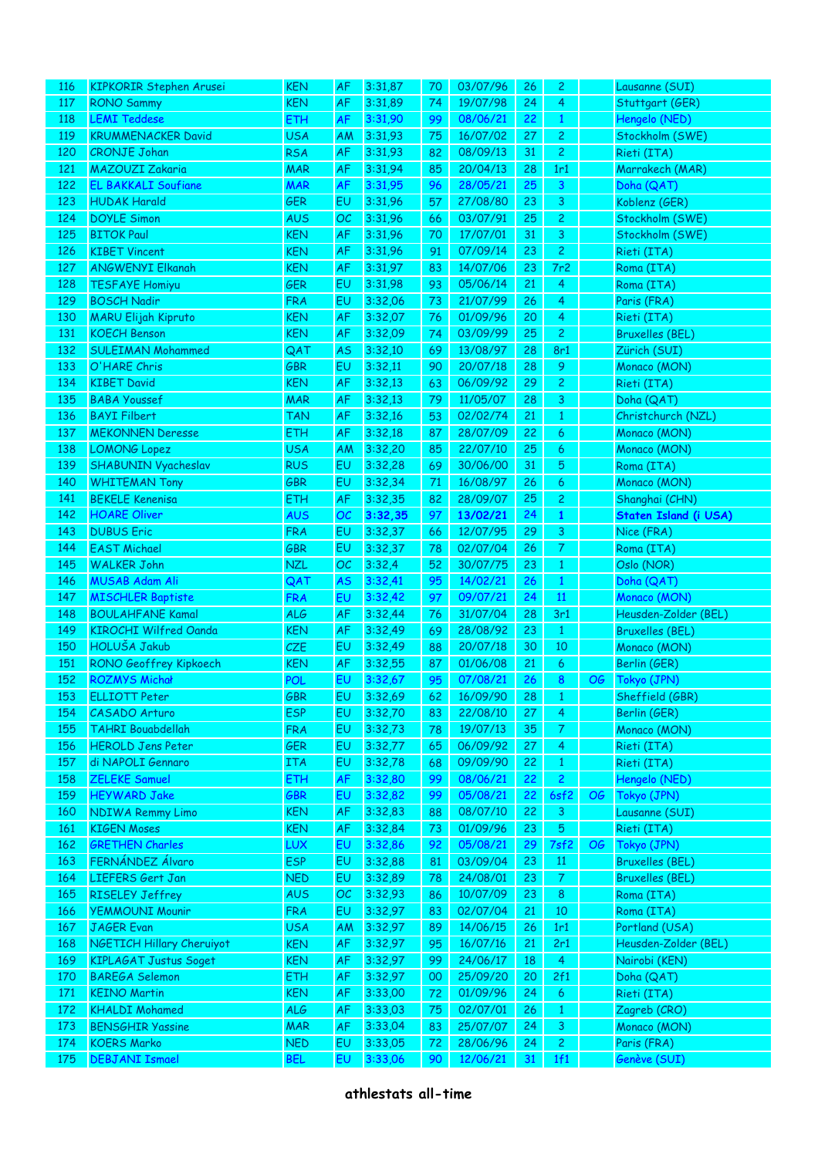| 116 | <b>KIPKORIR Stephen Arusei</b> | <b>KEN</b> | <b>AF</b> | 3:31,87 | 70            | 03/07/96 | 26 | $\mathbf{2}$   |           | Lausanne (SUI)         |
|-----|--------------------------------|------------|-----------|---------|---------------|----------|----|----------------|-----------|------------------------|
| 117 | <b>RONO Sammy</b>              | <b>KEN</b> | AF        | 3:31,89 | 74            | 19/07/98 | 24 | $\overline{4}$ |           | Stuttgart (GER)        |
| 118 | <b>LEMI Teddese</b>            | ETH        | AF        | 3:31,90 | 99            | 08/06/21 | 22 | $\mathbf{1}$   |           | Hengelo (NED)          |
| 119 | <b>KRUMMENACKER David</b>      | <b>USA</b> | AM        | 3:31,93 | 75            | 16/07/02 | 27 | $\overline{c}$ |           | Stockholm (SWE)        |
| 120 | <b>CRONJE Johan</b>            | <b>RSA</b> | AF        | 3:31,93 | 82            | 08/09/13 | 31 | $\overline{c}$ |           | Rieti (ITA)            |
| 121 | <b>MAZOUZI Zakaria</b>         | <b>MAR</b> | AF        | 3:31,94 | 85            | 20/04/13 | 28 | 1r1            |           | Marrakech (MAR)        |
| 122 | <b>EL BAKKALI Soufiane</b>     | <b>MAR</b> | AF        | 3:31,95 | 96            | 28/05/21 | 25 | 3              |           | Doha (QAT)             |
| 123 | <b>HUDAK Harald</b>            | <b>GER</b> | EU        | 3:31,96 | 57            | 27/08/80 | 23 | 3              |           | Koblenz (GER)          |
| 124 | <b>DOYLE Simon</b>             | <b>AUS</b> | OC        | 3:31,96 | 66            | 03/07/91 | 25 | $\overline{c}$ |           | Stockholm (SWE)        |
| 125 | <b>BITOK Paul</b>              | <b>KEN</b> | AF        | 3:31,96 | $70\,$        | 17/07/01 | 31 | 3              |           | Stockholm (SWE)        |
| 126 | <b>KIBET Vincent</b>           | <b>KEN</b> | AF        | 3:31,96 | 91            | 07/09/14 | 23 | $\overline{c}$ |           | Rieti (ITA)            |
| 127 | <b>ANGWENYI Elkanah</b>        | <b>KEN</b> | AF        | 3:31,97 | 83            | 14/07/06 | 23 | 7r2            |           | Roma (ITA)             |
| 128 | <b>TESFAYE Homiyu</b>          | <b>GER</b> | EU        | 3:31,98 | 93            | 05/06/14 | 21 | 4              |           | Roma (ITA)             |
| 129 | <b>BOSCH Nadir</b>             | <b>FRA</b> | EU        | 3:32,06 | 73            | 21/07/99 | 26 | 4              |           | Paris (FRA)            |
| 130 | <b>MARU Elijah Kipruto</b>     | <b>KEN</b> | AF        | 3:32,07 | 76            | 01/09/96 | 20 | 4              |           | Rieti (ITA)            |
| 131 | <b>KOECH Benson</b>            | <b>KEN</b> | AF        | 3:32,09 | 74            | 03/09/99 | 25 | $\mathbf{2}$   |           | <b>Bruxelles (BEL)</b> |
| 132 | <b>SULEIMAN Mohammed</b>       | QAT        | <b>AS</b> | 3:32,10 | 69            | 13/08/97 | 28 | 8r1            |           | Zürich (SUI)           |
| 133 | O'HARE Chris                   | GBR        | EU        | 3:32,11 | 90            | 20/07/18 | 28 | 9              |           | Monaco (MON)           |
| 134 | <b>KIBET David</b>             | <b>KEN</b> | AF        | 3:32,13 | 63            | 06/09/92 | 29 | $\overline{c}$ |           | Rieti (ITA)            |
| 135 | <b>BABA Youssef</b>            | <b>MAR</b> | AF        | 3:32,13 | 79            | 11/05/07 | 28 | 3              |           | Doha (QAT)             |
| 136 | <b>BAYI Filbert</b>            | <b>TAN</b> | AF        | 3:32,16 | 53            | 02/02/74 | 21 | $\mathbf{1}$   |           | Christchurch (NZL)     |
| 137 | <b>MEKONNEN Deresse</b>        | <b>ETH</b> | AF        | 3:32,18 | 87            | 28/07/09 | 22 | 6              |           | Monaco (MON)           |
| 138 | <b>LOMONG Lopez</b>            | <b>USA</b> | AM        | 3:32,20 | 85            | 22/07/10 | 25 | 6              |           | Monaco (MON)           |
| 139 | <b>SHABUNIN Vyacheslav</b>     | <b>RUS</b> | EU        | 3:32,28 | 69            | 30/06/00 | 31 | 5              |           | Roma (ITA)             |
| 140 | <b>WHITEMAN Tony</b>           | GBR        | EU        | 3:32,34 | $\mathbf{71}$ | 16/08/97 | 26 | 6              |           | Monaco (MON)           |
| 141 | <b>BEKELE Kenenisa</b>         | <b>ETH</b> | AF        | 3:32,35 | 82            | 28/09/07 | 25 | $\overline{c}$ |           | Shanghai (CHN)         |
| 142 | <b>HOARE Oliver</b>            | <b>AUS</b> | OC        | 3:32,35 | 97            | 13/02/21 | 24 | $\mathbf{1}$   |           | Staten Island (i USA)  |
| 143 | <b>DUBUS Eric</b>              | <b>FRA</b> | EU        | 3:32,37 | 66            | 12/07/95 | 29 | 3              |           | Nice (FRA)             |
| 144 | <b>EAST Michael</b>            | <b>GBR</b> | EU        | 3:32,37 | 78            | 02/07/04 | 26 | $\overline{7}$ |           | Roma (ITA)             |
| 145 | <b>WALKER John</b>             | <b>NZL</b> | OC        | 3:32,4  | 52            | 30/07/75 | 23 |                |           | Oslo (NOR)             |
|     | <b>MUSAB Adam Ali</b>          |            |           | 3:32,41 |               |          | 26 | $\mathbf{1}$   |           |                        |
| 146 |                                | QAT        | <b>AS</b> |         | 95            | 14/02/21 |    | $\mathbf{1}$   |           | Doha (QAT)             |
| 147 | <b>MISCHLER Baptiste</b>       | <b>FRA</b> | EU        | 3:32,42 | 97            | 09/07/21 | 24 | 11             |           | Monaco (MON)           |
| 148 | <b>BOULAHFANE Kamal</b>        | <b>ALG</b> | AF        | 3:32,44 | 76            | 31/07/04 | 28 | 3r1            |           | Heusden-Zolder (BEL)   |
| 149 | <b>KIROCHI Wilfred Oanda</b>   | <b>KEN</b> | AF        | 3:32,49 | 69            | 28/08/92 | 23 | $\mathbf{1}$   |           | <b>Bruxelles (BEL)</b> |
| 150 | HOLUŠA Jakub                   | CZE        | EU        | 3:32,49 | 88            | 20/07/18 | 30 | 10             |           | Monaco (MON)           |
| 151 | RONO Geoffrey Kipkoech         | <b>KEN</b> | AF        | 3:32,55 | 87            | 01/06/08 | 21 | 6              |           | Berlin (GER)           |
| 152 | <b>ROZMYS Michał</b>           | <b>POL</b> | EU        | 3:32,67 | 95            | 07/08/21 | 26 | 8              | <b>OG</b> | Tokyo (JPN)            |
| 153 | <b>ELLIOTT Peter</b>           | GBR        | EU        | 3:32,69 | 62            | 16/09/90 | 28 | $\,1\,$        |           | Sheffield (GBR)        |
| 154 | CASADO Arturo                  | <b>ESP</b> | EU        | 3:32,70 | 83            | 22/08/10 | 27 | $\overline{4}$ |           | Berlin (GER)           |
| 155 | <b>TAHRI Bouabdellah</b>       | <b>FRA</b> | EU        | 3:32,73 | 78            | 19/07/13 | 35 | $\mathcal{T}$  |           | Monaco (MON)           |
| 156 | <b>HEROLD Jens Peter</b>       | <b>GER</b> | EU        | 3:32,77 | 65            | 06/09/92 | 27 | $\overline{4}$ |           | Rieti (ITA)            |
| 157 | di NAPOLI Gennaro              | <b>ITA</b> | EU        | 3:32,78 | 68            | 09/09/90 | 22 | $\mathbf{1}$   |           | Rieti (ITA)            |
| 158 | ZELEKE Samuel                  | ETH        | AF        | 3:32,80 | 99            | 08/06/21 | 22 | $\overline{c}$ |           | Hengelo (NED)          |
| 159 | <b>HEYWARD Jake</b>            | GBR        | EU        | 3:32,82 | 99            | 05/08/21 | 22 | 6sf2           | OG        | Tokyo (JPN)            |
| 160 | <b>NDIWA Remmy Limo</b>        | <b>KEN</b> | AF        | 3:32,83 | 88            | 08/07/10 | 22 | $\mathbf{3}$   |           | Lausanne (SUI)         |
| 161 | <b>KIGEN Moses</b>             | <b>KEN</b> | AF        | 3:32,84 | 73            | 01/09/96 | 23 | $\overline{5}$ |           | Rieti (ITA)            |
| 162 | <b>GRETHEN Charles</b>         | LUX        | EU        | 3:32,86 | 92            | 05/08/21 | 29 | 7sf2           | OG        | Tokyo (JPN)            |
| 163 | FERNÁNDEZ Álvaro               | <b>ESP</b> | EU        | 3:32,88 | 81            | 03/09/04 | 23 | 11             |           | <b>Bruxelles (BEL)</b> |
| 164 | LIEFERS Gert Jan               | <b>NED</b> | EU        | 3:32,89 | 78            | 24/08/01 | 23 | $\mathcal{T}$  |           | <b>Bruxelles (BEL)</b> |
| 165 | <b>RISELEY Jeffrey</b>         | <b>AUS</b> | OC        | 3:32,93 | 86            | 10/07/09 | 23 | $\bf 8$        |           | Roma (ITA)             |
| 166 | <b>YEMMOUNI Mounir</b>         | <b>FRA</b> | EU        | 3:32,97 | 83            | 02/07/04 | 21 | 10             |           | Roma (ITA)             |
| 167 | <b>JAGER Evan</b>              | <b>USA</b> | AM        | 3:32,97 | 89            | 14/06/15 | 26 | 1r1            |           | Portland (USA)         |
| 168 | NGETICH Hillary Cheruiyot      | <b>KEN</b> | AF        | 3:32,97 | 95            | 16/07/16 | 21 | 2r1            |           | Heusden-Zolder (BEL)   |
| 169 | KIPLAGAT Justus Soget          | <b>KEN</b> | AF        | 3:32,97 | 99            | 24/06/17 | 18 | $\overline{4}$ |           | Nairobi (KEN)          |
| 170 | <b>BAREGA Selemon</b>          | <b>ETH</b> | AF        | 3:32,97 | 00            | 25/09/20 | 20 | 2f1            |           | Doha (QAT)             |
| 171 | <b>KEINO Martin</b>            | <b>KEN</b> | AF        | 3:33,00 | 72            | 01/09/96 | 24 | $\overline{6}$ |           | Rieti (ITA)            |
| 172 | <b>KHALDI Mohamed</b>          | <b>ALG</b> | AF        | 3:33,03 | 75            | 02/07/01 | 26 | $\mathbf{1}$   |           | Zagreb (CRO)           |
| 173 | <b>BENSGHIR Yassine</b>        | <b>MAR</b> | AF        | 3:33,04 | 83            | 25/07/07 | 24 | $\mathbf{3}$   |           | Monaco (MON)           |
| 174 | <b>KOERS Marko</b>             | <b>NED</b> | EU        | 3:33,05 | 72            | 28/06/96 | 24 | $\overline{2}$ |           | Paris (FRA)            |
| 175 | <b>DEBJANI Ismael</b>          | <b>BEL</b> | EU        | 3:33,06 | 90            | 12/06/21 | 31 | 1f1            |           | Genève (SUI)           |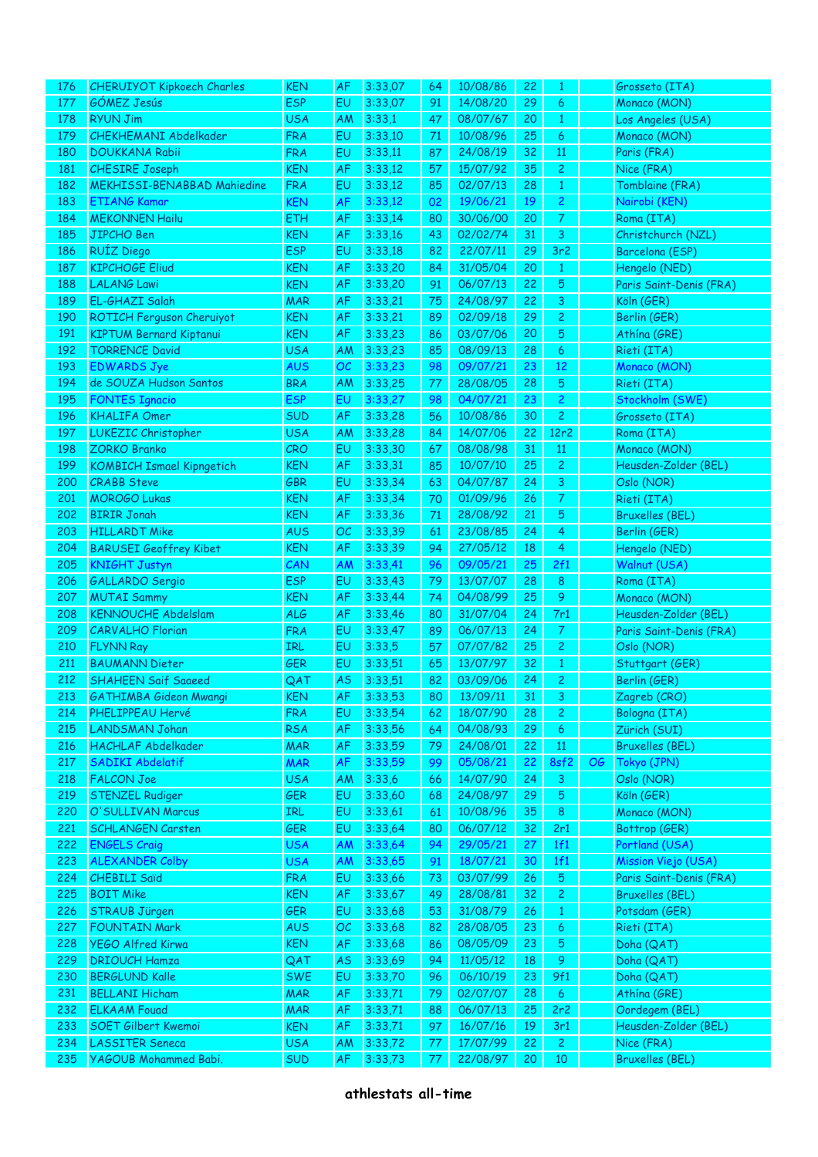| 176 | <b>CHERUIYOT Kipkoech Charles</b>           | <b>KEN</b>               | <b>AF</b> | 3:33,07           | 64            | 10/08/86 | 22        | 1               |    | Grosseto (ITA)             |
|-----|---------------------------------------------|--------------------------|-----------|-------------------|---------------|----------|-----------|-----------------|----|----------------------------|
| 177 | GÓMEZ Jesús                                 | <b>ESP</b>               | EU        | 3:33,07           | 91            | 14/08/20 | 29        | 6               |    | Monaco (MON)               |
| 178 | <b>RYUN Jim</b>                             | <b>USA</b>               | AM        | 3:33,1            | 47            | 08/07/67 | 20        | $\mathbf{1}$    |    | Los Angeles (USA)          |
| 179 | <b>CHEKHEMANI Abdelkader</b>                | <b>FRA</b>               | EU        | 3:33,10           | 71            | 10/08/96 | 25        | 6               |    | Monaco (MON)               |
| 180 | <b>DOUKKANA Rabii</b>                       | <b>FRA</b>               | EU        | 3:33,11           | 87            | 24/08/19 | 32        | 11              |    | Paris (FRA)                |
| 181 | <b>CHESIRE Joseph</b>                       | <b>KEN</b>               | AF        | 3:33,12           | 57            | 15/07/92 | 35        | $\overline{c}$  |    | Nice (FRA)                 |
| 182 | <b>MEKHISSI-BENABBAD Mahiedine</b>          | <b>FRA</b>               | EU        | 3:33,12           | 85            | 02/07/13 | 28        | $\mathbf{1}$    |    | Tomblaine (FRA)            |
| 183 | <b>ETIANG Kamar</b>                         | <b>KEN</b>               | AF        | 3:33,12           | 02            | 19/06/21 | 19        | $\overline{c}$  |    | Nairobi (KEN)              |
| 184 | <b>MEKONNEN Hailu</b>                       | <b>ETH</b>               | AF        | 3:33,14           | 80            | 30/06/00 | 20        | $\mathcal{T}$   |    | Roma (ITA)                 |
| 185 | <b>JIPCHO Ben</b>                           | <b>KEN</b>               | AF        | 3:33,16           | 43            | 02/02/74 | 31        | 3               |    | Christchurch (NZL)         |
| 186 | <b>RUÍZ Diego</b>                           | <b>ESP</b>               | EU        | 3:33,18           | 82            | 22/07/11 | 29        | 3r <sub>2</sub> |    | Barcelona (ESP)            |
| 187 | <b>KIPCHOGE Eliud</b>                       | <b>KEN</b>               | AF        | 3:33,20           | 84            | 31/05/04 | 20        | $\mathbf{1}$    |    | Hengelo (NED)              |
| 188 | <b>LALANG Lawi</b>                          | <b>KEN</b>               | AF        | 3:33,20           | 91            | 06/07/13 | 22        | 5               |    | Paris Saint-Denis (FRA)    |
| 189 | EL-GHAZI Salah                              | <b>MAR</b>               | AF        | 3:33,21           | 75            | 24/08/97 | 22        | 3               |    | Köln (GER)                 |
| 190 | ROTICH Ferguson Cheruiyot                   | <b>KEN</b>               | AF        | 3:33,21           | 89            | 02/09/18 | 29        | $\overline{c}$  |    | Berlin (GER)               |
|     |                                             |                          |           |                   |               |          |           |                 |    |                            |
| 191 | <b>KIPTUM Bernard Kiptanui</b>              | <b>KEN</b>               | AF        | 3:33,23           | 86            | 03/07/06 | 20        | 5               |    | Athína (GRE)               |
| 192 | <b>TORRENCE David</b>                       | <b>USA</b>               | AM        | 3:33,23           | 85            | 08/09/13 | 28        | 6               |    | Rieti (ITA)                |
| 193 | <b>EDWARDS Jye</b>                          | <b>AUS</b>               | OC        | 3:33,23           | 98            | 09/07/21 | 23        | 12              |    | Monaco (MON)               |
| 194 | de SOUZA Hudson Santos                      | <b>BRA</b>               | AM        | 3:33,25           | 77            | 28/08/05 | 28        | 5               |    | Rieti (ITA)                |
| 195 | <b>FONTES Ignacio</b>                       | <b>ESP</b>               | EU        | 3:33,27           | 98            | 04/07/21 | 23        | $\overline{c}$  |    | Stockholm (SWE)            |
| 196 | <b>KHALIFA Omer</b>                         | <b>SUD</b>               | AF        | 3:33,28           | 56            | 10/08/86 | 30        | $\overline{c}$  |    | Grosseto (ITA)             |
| 197 | LUKEZIC Christopher                         | <b>USA</b>               | AM        | 3:33,28           | 84            | 14/07/06 | 22        | 12r2            |    | Roma (ITA)                 |
| 198 | <b>ZORKO Branko</b>                         | CRO                      | EU        | 3:33,30           | 67            | 08/08/98 | 31        | 11              |    | Monaco (MON)               |
| 199 | <b>KOMBICH Ismael Kipngetich</b>            | <b>KEN</b>               | AF        | 3:33,31           | 85            | 10/07/10 | 25        | $\overline{c}$  |    | Heusden-Zolder (BEL)       |
| 200 | <b>CRABB Steve</b>                          | <b>GBR</b>               | EU        | 3:33,34           | 63            | 04/07/87 | 24        | 3               |    | Oslo (NOR)                 |
| 201 | <b>MOROGO Lukas</b>                         | <b>KEN</b>               | AF        | 3:33,34           | $70\,$        | 01/09/96 | 26        | $\overline{7}$  |    | Rieti (ITA)                |
| 202 | <b>BIRIR Jonah</b>                          | <b>KEN</b>               | AF        | 3:33,36           | $\mathbf{71}$ | 28/08/92 | 21        | 5               |    | <b>Bruxelles (BEL)</b>     |
| 203 | <b>HILLARDT Mike</b>                        | <b>AUS</b>               | OC        | 3:33,39           | 61            | 23/08/85 | 24        | 4               |    | Berlin (GER)               |
| 204 | <b>BARUSEI Geoffrey Kibet</b>               | <b>KEN</b>               | AF        | 3:33,39           | 94            | 27/05/12 | 18        | 4               |    | Hengelo (NED)              |
| 205 | <b>KNIGHT Justyn</b>                        | CAN                      | AM        | 3:33,41           | 96            | 09/05/21 | 25        | 2f1             |    | Walnut (USA)               |
| 206 | <b>GALLARDO Sergio</b>                      | <b>ESP</b>               | EU        | 3:33,43           | 79            | 13/07/07 | 28        | 8               |    | Roma (ITA)                 |
| 207 | <b>MUTAI Sammy</b>                          | <b>KEN</b>               | AF        | 3:33,44           | 74            | 04/08/99 | 25        | 9               |    | Monaco (MON)               |
| 208 | <b>KENNOUCHE Abdelslam</b>                  | <b>ALG</b>               | AF        | 3:33,46           | 80            | 31/07/04 | 24        | 7r1             |    | Heusden-Zolder (BEL)       |
| 209 | <b>CARVALHO Florian</b>                     | <b>FRA</b>               | EU        | 3:33,47           | 89            | 06/07/13 | 24        | $\mathcal{T}$   |    | Paris Saint-Denis (FRA)    |
| 210 | <b>FLYNN Ray</b>                            | IRL                      | EU        | 3:33,5            | 57            | 07/07/82 | 25        | $\overline{c}$  |    | Oslo (NOR)                 |
| 211 | <b>BAUMANN Dieter</b>                       | <b>GER</b>               | EU        | 3:33,51           | 65            | 13/07/97 | 32        | $\mathbf{1}$    |    | Stuttgart (GER)            |
| 212 | <b>SHAHEEN Saif Saaeed</b>                  | QAT                      | <b>AS</b> | 3:33,51           | 82            | 03/09/06 | 24        | $\overline{c}$  |    | Berlin (GER)               |
| 213 | <b>GATHIMBA Gideon Mwangi</b>               | <b>KEN</b>               | AF        | 3:33,53           | 80            | 13/09/11 | 31        | $\overline{3}$  |    | Zagreb (CRO)               |
| 214 | PHELIPPEAU Hervé                            | <b>FRA</b>               | EU        | 3:33,54           | 62            | 18/07/90 | 28        | $\overline{c}$  |    | Bologna (ITA)              |
| 215 | <b>LANDSMAN Johan</b>                       | <b>RSA</b>               | AF        | 3:33,56           | 64            | 04/08/93 | 29        | $\overline{6}$  |    | Zürich (SUI)               |
| 216 | <b>HACHLAF Abdelkader</b>                   | <b>MAR</b>               | AF        | 3:33,59           | 79            | 24/08/01 | 22        | $11\,$          |    | <b>Bruxelles (BEL)</b>     |
| 217 | SADIKI Abdelatif                            |                          |           |                   |               | 05/08/21 | 22        | 8sf2            |    |                            |
| 218 | <b>FALCON Joe</b>                           | <b>MAR</b><br><b>USA</b> | AF<br>AM  | 3:33,59<br>3:33,6 | 99<br>66      | 14/07/90 | 24        | $\mathbf{3}$    | OG | Tokyo (JPN)<br>Oslo (NOR)  |
|     |                                             |                          |           |                   |               |          |           |                 |    |                            |
| 219 | <b>STENZEL Rudiger</b><br>O'SULLIVAN Marcus | <b>GER</b>               | EU        | 3:33,60           | 68            | 24/08/97 | 29        | $\overline{5}$  |    | Köln (GER)<br>Monaco (MON) |
| 220 |                                             | IRL                      | EU        | 3:33,61           | 61            | 10/08/96 | 35        | $\bf 8$         |    |                            |
| 221 | <b>SCHLANGEN Carsten</b>                    | <b>GER</b>               | EU        | 3:33,64           | 80            | 06/07/12 | 32        | 2r1             |    | Bottrop (GER)              |
| 222 | <b>ENGELS Craig</b>                         | <b>USA</b>               | AM        | 3:33,64           | 94            | 29/05/21 | <b>27</b> | 1f1             |    | Portland (USA)             |
| 223 | <b>ALEXANDER Colby</b>                      | <b>USA</b>               | AM        | 3:33,65           | 91            | 18/07/21 | 30        | 1f1             |    | Mission Viejo (USA)        |
| 224 | <b>CHEBILI Saïd</b>                         | <b>FRA</b>               | EU        | 3:33,66           | 73            | 03/07/99 | 26        | $\overline{5}$  |    | Paris Saint-Denis (FRA)    |
| 225 | <b>BOIT Mike</b>                            | <b>KEN</b>               | AF        | 3:33,67           | 49            | 28/08/81 | 32        | $\overline{c}$  |    | <b>Bruxelles (BEL)</b>     |
| 226 | <b>STRAUB Jürgen</b>                        | <b>GER</b>               | EU        | 3:33,68           | 53            | 31/08/79 | 26        | $\mathbf{1}$    |    | Potsdam (GER)              |
| 227 | <b>FOUNTAIN Mark</b>                        | <b>AUS</b>               | OC        | 3:33,68           | 82            | 28/08/05 | 23        | $\epsilon$      |    | Rieti (ITA)                |
| 228 | <b>YEGO Alfred Kirwa</b>                    | <b>KEN</b>               | AF        | 3:33,68           | 86            | 08/05/09 | 23        | $\overline{5}$  |    | Doha (QAT)                 |
| 229 | <b>DRIOUCH Hamza</b>                        | QAT                      | <b>AS</b> | 3:33,69           | 94            | 11/05/12 | 18        | 9               |    | Doha (QAT)                 |
| 230 | <b>BERGLUND Kalle</b>                       | <b>SWE</b>               | EU        | 3:33,70           | 96            | 06/10/19 | 23        | 9f1             |    | Doha (QAT)                 |
| 231 | <b>BELLANI Hicham</b>                       | <b>MAR</b>               | AF        | 3:33,71           | 79            | 02/07/07 | 28        | $\overline{6}$  |    | Athína (GRE)               |
| 232 | <b>ELKAAM Fouad</b>                         | <b>MAR</b>               | AF        | 3:33,71           | 88            | 06/07/13 | 25        | 2r2             |    | Oordegem (BEL)             |
| 233 | <b>SOET Gilbert Kwemoi</b>                  | <b>KEN</b>               | AF        | 3:33,71           | 97            | 16/07/16 | 19        | 3r1             |    | Heusden-Zolder (BEL)       |
| 234 | <b>LASSITER Seneca</b>                      | <b>USA</b>               | AM        | 3:33,72           | 77            | 17/07/99 | 22        | $\mathbf{2}$    |    | Nice (FRA)                 |
| 235 | YAGOUB Mohammed Babi.                       | <b>SUD</b>               | AF        | 3:33,73           | 77            | 22/08/97 | 20        | $10\,$          |    | <b>Bruxelles (BEL)</b>     |
|     |                                             |                          |           |                   |               |          |           |                 |    |                            |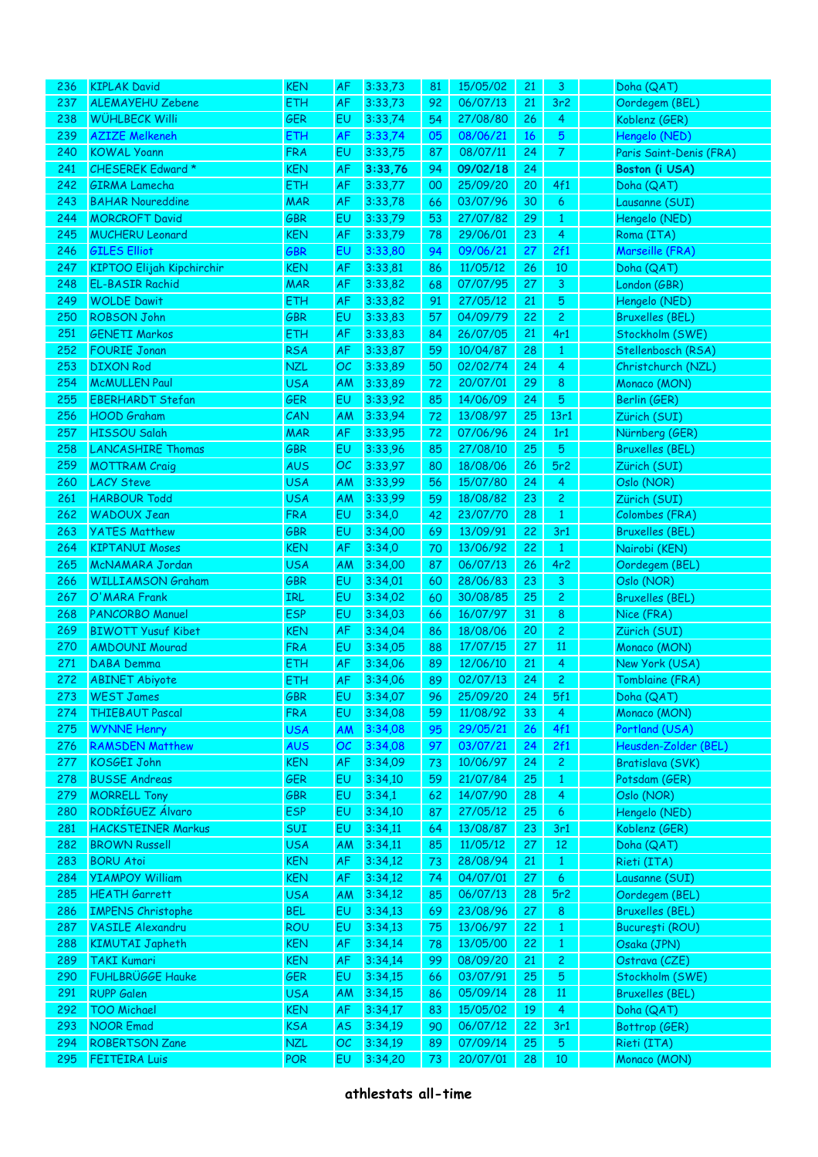| 236        | <b>KIPLAK David</b>                              | <b>KEN</b>               | AF        | 3:33,73            | 81       | 15/05/02             | 21       | 3                            | Doha (QAT)                     |
|------------|--------------------------------------------------|--------------------------|-----------|--------------------|----------|----------------------|----------|------------------------------|--------------------------------|
| 237        | <b>ALEMAYEHU Zebene</b>                          | ETH                      | AF        | 3:33,73            | 92       | 06/07/13             | 21       | 3r <sub>2</sub>              | Oordegem (BEL)                 |
| 238        | WÜHLBECK Willi                                   | <b>GER</b>               | EU        | 3:33,74            | 54       | 27/08/80             | 26       | 4                            | Koblenz (GER)                  |
| 239        | <b>AZIZE Melkeneh</b>                            | ETH                      | AF        | 3:33,74            | 05       | 08/06/21             | 16       | 5                            | Hengelo (NED)                  |
| 240        | <b>KOWAL Yoann</b>                               | <b>FRA</b>               | EU        | 3:33,75            | 87       | 08/07/11             | 24       | $\mathcal{T}$                | Paris Saint-Denis (FRA)        |
| 241        | CHESEREK Edward *                                | KEN                      | AF        | 3:33,76            | 94       | 09/02/18             | 24       |                              | Boston (i USA)                 |
| 242        | <b>GIRMA Lamecha</b>                             | ETH                      | AF        | 3:33,77            | 00       | 25/09/20             | 20       | 4f1                          | Doha (QAT)                     |
| 243        | <b>BAHAR Noureddine</b>                          | <b>MAR</b>               | AF        | 3:33,78            | 66       | 03/07/96             | 30       | 6                            | Lausanne (SUI)                 |
| 244        | <b>MORCROFT David</b>                            | <b>GBR</b>               | EU        | 3:33,79            | 53       | 27/07/82             | 29       | $\mathbf{1}$                 | Hengelo (NED)                  |
| 245        | <b>MUCHERU Leonard</b>                           | <b>KEN</b>               | AF        | 3:33,79            | 78       | 29/06/01             | 23       | 4                            | Roma (ITA)                     |
| 246        | <b>GILES Elliot</b>                              | GBR                      | EU        | 3:33,80            | 94       | 09/06/21             | 27       | 2f1                          | Marseille (FRA)                |
| 247        | <b>KIPTOO Elijah Kipchirchir</b>                 | KEN                      | AF        | 3:33,81            | 86       | 11/05/12             | 26       | 10                           | Doha (QAT)                     |
| 248        | <b>EL-BASIR Rachid</b>                           | <b>MAR</b>               | AF        | 3:33,82            | 68       | 07/07/95             | 27       | 3                            | London (GBR)                   |
| 249        | <b>WOLDE Dawit</b>                               | ETH                      | AF        | 3:33,82            | 91       | 27/05/12             | 21       | 5                            | Hengelo (NED)                  |
| 250        | <b>ROBSON John</b>                               | GBR                      | EU        | 3:33,83            | 57       | 04/09/79             | 22       | $\overline{2}$               | <b>Bruxelles (BEL)</b>         |
| 251        | <b>GENETI Markos</b>                             | ETH                      | AF        | 3:33,83            | 84       | 26/07/05             | 21       | 4r1                          | Stockholm (SWE)                |
| 252        | <b>FOURIE Jonan</b>                              | <b>RSA</b>               | AF        | 3:33,87            | 59       | 10/04/87             | 28       | $\mathbf{1}$                 | Stellenbosch (RSA)             |
| 253        | <b>DIXON Rod</b>                                 | <b>NZL</b>               | OC        | 3:33,89            | 50       | 02/02/74             | 24       | 4                            | Christchurch (NZL)             |
| 254        | <b>McMULLEN Paul</b>                             | <b>USA</b>               | AM        | 3:33,89            | 72       | 20/07/01             | 29       | 8                            | Monaco (MON)                   |
| 255        | <b>EBERHARDT Stefan</b>                          | GER                      | EU        | 3:33,92            | 85       | 14/06/09             | 24       | 5                            | Berlin (GER)                   |
| 256        | <b>HOOD Graham</b>                               | CAN                      | AM        | 3:33,94            | 72       | 13/08/97             | 25       | 13r1                         | Zürich (SUI)                   |
| 257        | HISSOU Salah                                     | <b>MAR</b>               | AF        | 3:33,95            | 72       | 07/06/96             | 24       | 1r1                          | Nürnberg (GER)                 |
| 258        | <b>LANCASHIRE Thomas</b>                         | <b>GBR</b>               | EU        | 3:33,96            | 85       | 27/08/10             | 25       | 5                            | <b>Bruxelles (BEL)</b>         |
| 259        | <b>MOTTRAM Craig</b>                             | <b>AUS</b>               | OC        | 3:33,97            | 80       | 18/08/06             | 26       | 5r2                          | Zürich (SUI)                   |
| 260        | <b>LACY Steve</b>                                | <b>USA</b>               | AM        | 3:33,99            | 56       | 15/07/80             | 24       | 4                            | Oslo (NOR)                     |
| 261        | <b>HARBOUR Todd</b>                              | <b>USA</b>               | AM        | 3:33,99            | 59       | 18/08/82             | 23       | $\overline{c}$               | Zürich (SUI)                   |
| 262        | <b>WADOUX Jean</b>                               | <b>FRA</b>               | EU        | 3:34,0             | 42       | 23/07/70             | 28       | $\mathbf{1}$                 | Colombes (FRA)                 |
| 263        | <b>YATES Matthew</b>                             | <b>GBR</b>               | EU        | 3:34,00            | 69       | 13/09/91             | 22       | 3r1                          | <b>Bruxelles (BEL)</b>         |
| 264        | <b>KIPTANUI Moses</b>                            | <b>KEN</b>               | AF        | 3:34,0             | 70       | 13/06/92             | 22       | $\mathbf{1}$                 | Nairobi (KEN)                  |
| 265        | McNAMARA Jordan                                  | <b>USA</b>               | AM        | 3:34,00            | 87       | 06/07/13             | 26       | 4r2                          | Oordegem (BEL)                 |
| 266        | <b>WILLIAMSON Graham</b>                         | <b>GBR</b>               | EU        | 3:34,01            | 60       | 28/06/83             | 23       | 3                            | Oslo (NOR)                     |
| 267        | O'MARA Frank                                     | <b>IRL</b>               | EU        | 3:34,02            | 60       | 30/08/85             | 25       | $\overline{2}$               | <b>Bruxelles (BEL)</b>         |
| 268        | <b>PANCORBO Manuel</b>                           | <b>ESP</b>               | EU        | 3:34,03            | 66       | 16/07/97             | 31       | 8                            | Nice (FRA)                     |
| 269        | <b>BIWOTT Yusuf Kibet</b>                        | KEN                      | AF        | 3:34,04            | 86       | 18/08/06             | 20       | $\overline{2}$               | Zürich (SUI)                   |
| 270        | <b>AMDOUNI Mourad</b>                            | <b>FRA</b>               | EU        | 3:34,05            | 88       | 17/07/15             | 27       | 11                           | Monaco (MON)                   |
| 271        | DABA Demma                                       | ETH                      | AF        | 3:34,06            | 89       | 12/06/10             | 21       | 4                            | New York (USA)                 |
| 272        | <b>ABINET Abiyote</b>                            | ETH                      | <b>AF</b> | 3:34,06            | 89       | 02/07/13             | 24       | $\overline{2}$               | Tomblaine (FRA)                |
| 273.       | <b>WEST James</b>                                | GBR                      | EU.       | 3:34,07            | 96       | 25/09/20             | 24       | 5f1                          | Doha (QAT)                     |
| 274        | <b>THIEBAUT Pascal</b>                           | <b>FRA</b>               | EU        | 3:34,08            | 59       | 11/08/92             | 33       | 4                            | Monaco (MON)                   |
| 275        | <b>WYNNE Henry</b>                               | <b>USA</b>               | AM        | 3:34,08            | 95       | 29/05/21             | 26       | 4f1                          | Portland (USA)                 |
| 276        | <b>RAMSDEN Matthew</b>                           | <b>AUS</b>               | OC        | 3:34,08            | 97       | 03/07/21             | 24       | 2f1                          | Heusden-Zolder (BEL)           |
| 277        | KOSGEI John                                      | <b>KEN</b>               | AF        | 3:34,09            | 73       | 10/06/97             | 24       | $\overline{c}$               | Bratislava (SVK)               |
| 278        | <b>BUSSE Andreas</b>                             | GER                      | EU        | 3:34,10            | 59       | 21/07/84             | 25       | $\mathbf{1}$                 | Potsdam (GER)                  |
| 279        | <b>MORRELL Tony</b>                              | GBR                      | EU        | 3:34,1             | 62       | 14/07/90             | 28       | 4                            | Oslo (NOR)                     |
| 280        | RODRÍGUEZ Álvaro                                 | <b>ESP</b>               | EU        | 3:34,10            | 87       | 27/05/12             | 25       | 6                            | Hengelo (NED)                  |
| 281        | <b>HACKSTEINER Markus</b>                        | SUI                      | EU        | 3:34,11            | 64       | 13/08/87             | 23       | 3r1                          | Koblenz (GER)                  |
| 282        | <b>BROWN Russell</b>                             | <b>USA</b>               | AM        | 3:34,11            | 85       | 11/05/12             | 27       | 12                           | Doha (QAT)                     |
| 283        | <b>BORU Atoi</b>                                 | <b>KEN</b>               | AF        | 3:34,12            | 73       | 28/08/94             | 21       | $\mathbf{1}$                 | Rieti (ITA)                    |
| 284        | <b>YIAMPOY William</b>                           | <b>KEN</b>               | AF        | 3:34,12<br>3:34,12 | 74       | 04/07/01             | 27       | 6                            | Lausanne (SUI)                 |
| 285<br>286 | <b>HEATH Garrett</b><br><b>IMPENS Christophe</b> | <b>USA</b><br><b>BEL</b> | AM<br>EU  | 3:34,13            | 85       | 06/07/13<br>23/08/96 | 28<br>27 | 5r2                          | Oordegem (BEL)                 |
| 287        | <b>VASILE Alexandru</b>                          | <b>ROU</b>               | EU        | 3:34,13            | 69       | 13/06/97             | 22       | 8                            | <b>Bruxelles (BEL)</b>         |
| 288        | <b>KIMUTAI Japheth</b>                           | <b>KEN</b>               | AF        | 3:34,14            | 75<br>78 | 13/05/00             | 22       | $\mathbf{1}$<br>$\mathbf{1}$ | București (ROU)<br>Osaka (JPN) |
| 289        | <b>TAKI Kumari</b>                               | <b>KEN</b>               | AF        | 3:34,14            | 99       | 08/09/20             | 21       | $\overline{c}$               | Ostrava (CZE)                  |
| 290        | <b>FUHLBRÜGGE Hauke</b>                          | GER                      | EU        | 3:34,15            | 66       | 03/07/91             | 25       | 5                            | Stockholm (SWE)                |
| 291        | <b>RUPP Galen</b>                                | <b>USA</b>               | AM        | 3:34,15            | 86       | 05/09/14             | 28       | 11                           | <b>Bruxelles (BEL)</b>         |
| 292        | <b>TOO Michael</b>                               | <b>KEN</b>               | AF        | 3:34,17            | 83       | 15/05/02             | 19       | 4                            | Doha (QAT)                     |
| 293        | <b>NOOR Emad</b>                                 | <b>KSA</b>               | AS        | 3:34,19            | 90       | 06/07/12             | 22       | 3r1                          | Bottrop (GER)                  |
| 294        | <b>ROBERTSON Zane</b>                            | <b>NZL</b>               | OC        | 3:34,19            | 89       | 07/09/14             | 25       | 5                            | Rieti (ITA)                    |
| 295        | <b>FEITEIRA Luis</b>                             | POR                      | EU        | 3:34,20            | 73       | 20/07/01             | 28       | 10                           | Monaco (MON)                   |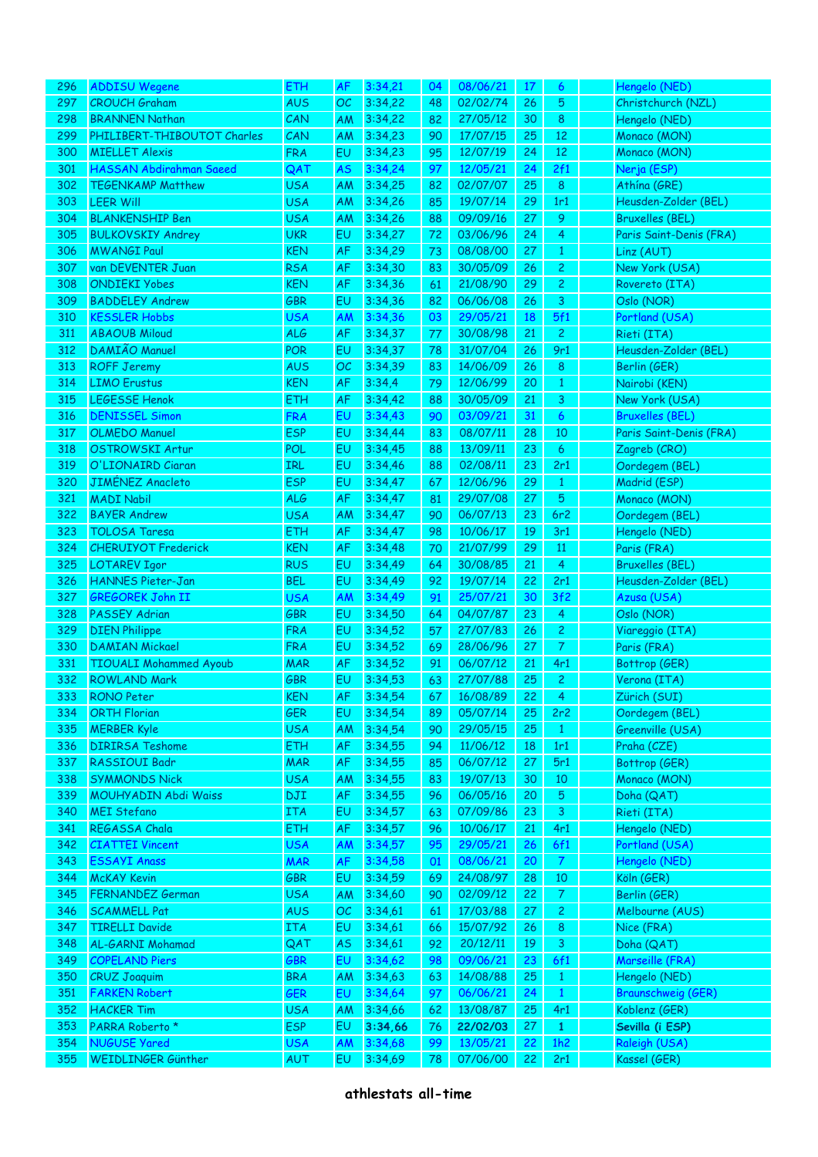| 296 | <b>ADDISU Wegene</b>           | <b>ETH</b> | <b>AF</b> | 3:34,21 | 04 | 08/06/21 | 17 | 6              | Hengelo (NED)             |
|-----|--------------------------------|------------|-----------|---------|----|----------|----|----------------|---------------------------|
| 297 | <b>CROUCH Graham</b>           | <b>AUS</b> | OC        | 3:34,22 | 48 | 02/02/74 | 26 | 5              | Christchurch (NZL)        |
| 298 | <b>BRANNEN Nathan</b>          | CAN        | AM        | 3:34,22 | 82 | 27/05/12 | 30 | 8              | Hengelo (NED)             |
| 299 | PHILIBERT-THIBOUTOT Charles    | CAN        | AM        | 3:34,23 | 90 | 17/07/15 | 25 | 12             | Monaco (MON)              |
| 300 | <b>MIELLET Alexis</b>          | <b>FRA</b> | EU        | 3:34,23 | 95 | 12/07/19 | 24 | 12             | Monaco (MON)              |
| 301 | <b>HASSAN Abdirahman Saeed</b> | QAT        | <b>AS</b> | 3:34,24 | 97 | 12/05/21 | 24 | 2f1            | Nerja (ESP)               |
| 302 | <b>TEGENKAMP Matthew</b>       | <b>USA</b> | AM        | 3:34,25 | 82 | 02/07/07 | 25 | 8              | Athína (GRE)              |
| 303 | <b>LEER Will</b>               | <b>USA</b> | AM        | 3:34,26 | 85 | 19/07/14 | 29 | 1r1            | Heusden-Zolder (BEL)      |
| 304 | <b>BLANKENSHIP Ben</b>         | <b>USA</b> | AM        | 3:34,26 | 88 | 09/09/16 | 27 | 9              | <b>Bruxelles (BEL)</b>    |
| 305 | <b>BULKOVSKIY Andrey</b>       | <b>UKR</b> | EU        | 3:34,27 | 72 | 03/06/96 | 24 | 4              | Paris Saint-Denis (FRA)   |
| 306 | <b>MWANGI Paul</b>             | <b>KEN</b> | AF        | 3:34,29 | 73 | 08/08/00 | 27 | $\mathbf{1}$   | Linz (AUT)                |
| 307 | van DEVENTER Juan              | <b>RSA</b> | AF        | 3:34,30 | 83 | 30/05/09 | 26 |                | New York (USA)            |
|     |                                |            | AF        | 3:34,36 |    |          |    | $\overline{c}$ |                           |
| 308 | <b>ONDIEKI Yobes</b>           | <b>KEN</b> |           |         | 61 | 21/08/90 | 29 | $\overline{c}$ | Rovereto (ITA)            |
| 309 | <b>BADDELEY Andrew</b>         | <b>GBR</b> | EU        | 3:34,36 | 82 | 06/06/08 | 26 | 3              | Oslo (NOR)                |
| 310 | <b>KESSLER Hobbs</b>           | <b>USA</b> | AM        | 3:34,36 | 03 | 29/05/21 | 18 | 5f1            | Portland (USA)            |
| 311 | <b>ABAOUB Miloud</b>           | <b>ALG</b> | AF        | 3:34,37 | 77 | 30/08/98 | 21 | $\overline{c}$ | Rieti (ITA)               |
| 312 | DAMIÃO Manuel                  | POR        | EU        | 3:34,37 | 78 | 31/07/04 | 26 | 9r1            | Heusden-Zolder (BEL)      |
| 313 | <b>ROFF Jeremy</b>             | <b>AUS</b> | OC        | 3:34,39 | 83 | 14/06/09 | 26 | 8              | Berlin (GER)              |
| 314 | <b>LIMO</b> Erustus            | <b>KEN</b> | AF        | 3:34,4  | 79 | 12/06/99 | 20 | $\mathbf{1}$   | Nairobi (KEN)             |
| 315 | <b>LEGESSE Henok</b>           | <b>ETH</b> | AF        | 3:34,42 | 88 | 30/05/09 | 21 | 3              | New York (USA)            |
| 316 | <b>DENISSEL Simon</b>          | <b>FRA</b> | EU        | 3:34,43 | 90 | 03/09/21 | 31 | 6              | <b>Bruxelles (BEL)</b>    |
| 317 | <b>OLMEDO</b> Manuel           | <b>ESP</b> | EU        | 3:34,44 | 83 | 08/07/11 | 28 | 10             | Paris Saint-Denis (FRA)   |
| 318 | <b>OSTROWSKI Artur</b>         | POL        | EU        | 3:34,45 | 88 | 13/09/11 | 23 | 6              | Zagreb (CRO)              |
| 319 | O'LIONAIRD Ciaran              | <b>IRL</b> | EU        | 3:34,46 | 88 | 02/08/11 | 23 | 2r1            | Oordegem (BEL)            |
| 320 | <b>JIMÉNEZ Anacleto</b>        | <b>ESP</b> | EU        | 3:34,47 | 67 | 12/06/96 | 29 | $\mathbf{1}$   | Madrid (ESP)              |
| 321 | <b>MADI Nabil</b>              | <b>ALG</b> | AF        | 3:34,47 | 81 | 29/07/08 | 27 | 5              | Monaco (MON)              |
| 322 | <b>BAYER Andrew</b>            | <b>USA</b> | AM        | 3:34,47 | 90 | 06/07/13 | 23 | 6r2            | Oordegem (BEL)            |
| 323 | <b>TOLOSA Taresa</b>           | <b>ETH</b> | AF        | 3:34,47 | 98 | 10/06/17 | 19 | 3r1            | Hengelo (NED)             |
| 324 | <b>CHERUIYOT Frederick</b>     | <b>KEN</b> | AF        | 3:34,48 | 70 | 21/07/99 | 29 | 11             | Paris (FRA)               |
| 325 | <b>LOTAREV Igor</b>            | <b>RUS</b> | EU        | 3:34,49 | 64 | 30/08/85 | 21 | 4              | <b>Bruxelles (BEL)</b>    |
| 326 | <b>HANNES Pieter-Jan</b>       | <b>BEL</b> | EU        | 3:34,49 | 92 | 19/07/14 | 22 | 2r1            | Heusden-Zolder (BEL)      |
| 327 | <b>GREGOREK John II</b>        | <b>USA</b> | AM        | 3:34,49 | 91 | 25/07/21 | 30 | 3f2            | Azusa (USA)               |
| 328 | PASSEY Adrian                  | <b>GBR</b> | <b>EU</b> | 3:34,50 | 64 | 04/07/87 | 23 | 4              | Oslo (NOR)                |
| 329 | <b>DIEN Philippe</b>           | <b>FRA</b> | EU        | 3:34,52 | 57 | 27/07/83 | 26 | $\overline{c}$ | Viareggio (ITA)           |
| 330 | <b>DAMIAN Mickael</b>          | <b>FRA</b> | EU        | 3:34,52 | 69 | 28/06/96 | 27 | $\overline{7}$ | Paris (FRA)               |
| 331 | <b>TIOUALI Mohammed Ayoub</b>  | <b>MAR</b> | AF        | 3:34,52 | 91 | 06/07/12 | 21 | 4r1            | Bottrop (GER)             |
| 332 | <b>ROWLAND Mark</b>            | <b>GBR</b> | EU        | 3:34,53 | 63 | 27/07/88 | 25 | $\overline{c}$ | Verona (ITA)              |
| 333 | <b>RONO Peter</b>              | <b>KEN</b> | AF        | 3:34,54 | 67 | 16/08/89 | 22 | $\overline{4}$ | Zürich (SUI)              |
| 334 | <b>ORTH Florian</b>            | <b>GER</b> | EU        | 3:34,54 | 89 | 05/07/14 | 25 | 2r2            | Oordegem (BEL)            |
| 335 | <b>MERBER Kyle</b>             | <b>USA</b> | AM        | 3:34,54 | 90 | 29/05/15 | 25 | $\mathbf{1}$   | Greenville (USA)          |
| 336 | <b>DIRIRSA Teshome</b>         | <b>ETH</b> | AF        | 3:34,55 | 94 | 11/06/12 | 18 | 1r1            | Praha (CZE)               |
| 337 | RASSIOUI Badr                  | <b>MAR</b> | AF        | 3:34,55 | 85 | 06/07/12 | 27 | 5r1            | Bottrop (GER)             |
|     |                                |            |           |         |    |          |    |                |                           |
| 338 | <b>SYMMONDS Nick</b>           | <b>USA</b> | AM        | 3:34,55 | 83 | 19/07/13 | 30 | 10             | Monaco (MON)              |
| 339 | MOUHYADIN Abdi Waiss           | DJI        | AF        | 3:34,55 | 96 | 06/05/16 | 20 | 5              | Doha (QAT)                |
| 340 | <b>MEI Stefano</b>             | <b>ITA</b> | <b>EU</b> | 3:34,57 | 63 | 07/09/86 | 23 | $\mathbf{3}$   | Rieti (ITA)               |
| 341 | REGASSA Chala                  | <b>ETH</b> | AF        | 3:34,57 | 96 | 10/06/17 | 21 | 4r1            | Hengelo (NED)             |
| 342 | <b>CIATTEI Vincent</b>         | <b>USA</b> | AM        | 3:34,57 | 95 | 29/05/21 | 26 | 6f1            | Portland (USA)            |
| 343 | <b>ESSAYI Anass</b>            | <b>MAR</b> | AF        | 3:34,58 | 01 | 08/06/21 | 20 | $\overline{7}$ | Hengelo (NED)             |
| 344 | <b>McKAY Kevin</b>             | <b>GBR</b> | EU        | 3:34,59 | 69 | 24/08/97 | 28 | 10             | Köln (GER)                |
| 345 | FERNANDEZ German               | <b>USA</b> | AM        | 3:34,60 | 90 | 02/09/12 | 22 | $\mathcal{T}$  | Berlin (GER)              |
| 346 | <b>SCAMMELL Pat</b>            | <b>AUS</b> | OC        | 3:34,61 | 61 | 17/03/88 | 27 | $\mathbf{S}$   | Melbourne (AUS)           |
| 347 | <b>TIRELLI Davide</b>          | <b>ITA</b> | EU        | 3:34,61 | 66 | 15/07/92 | 26 | 8              | Nice (FRA)                |
| 348 | AL-GARNI Mohamad               | QAT        | <b>AS</b> | 3:34,61 | 92 | 20/12/11 | 19 | 3              | Doha (QAT)                |
| 349 | <b>COPELAND Piers</b>          | <b>GBR</b> | EU        | 3:34,62 | 98 | 09/06/21 | 23 | 6f1            | Marseille (FRA)           |
| 350 | <b>CRUZ Joaquim</b>            | <b>BRA</b> | AM        | 3:34,63 | 63 | 14/08/88 | 25 | $\mathbf{1}$   | Hengelo (NED)             |
| 351 | <b>FARKEN Robert</b>           | <b>GER</b> | EU        | 3:34,64 | 97 | 06/06/21 | 24 | $\mathbf{1}$   | <b>Braunschweig (GER)</b> |
| 352 | <b>HACKER Tim</b>              | <b>USA</b> | AM        | 3:34,66 | 62 | 13/08/87 | 25 | 4r1            | Koblenz (GER)             |
| 353 | PARRA Roberto *                | <b>ESP</b> | EU        | 3:34,66 | 76 | 22/02/03 | 27 | $\mathbf{1}$   | Sevilla (i ESP)           |
| 354 | <b>NUGUSE Yared</b>            | <b>USA</b> | AM        | 3:34,68 | 99 | 13/05/21 | 22 | 1h2            | Raleigh (USA)             |
| 355 | WEIDLINGER Günther             | AUT        | EU        | 3:34,69 | 78 | 07/06/00 | 22 | 2r1            | Kassel (GER)              |
|     |                                |            |           |         |    |          |    |                |                           |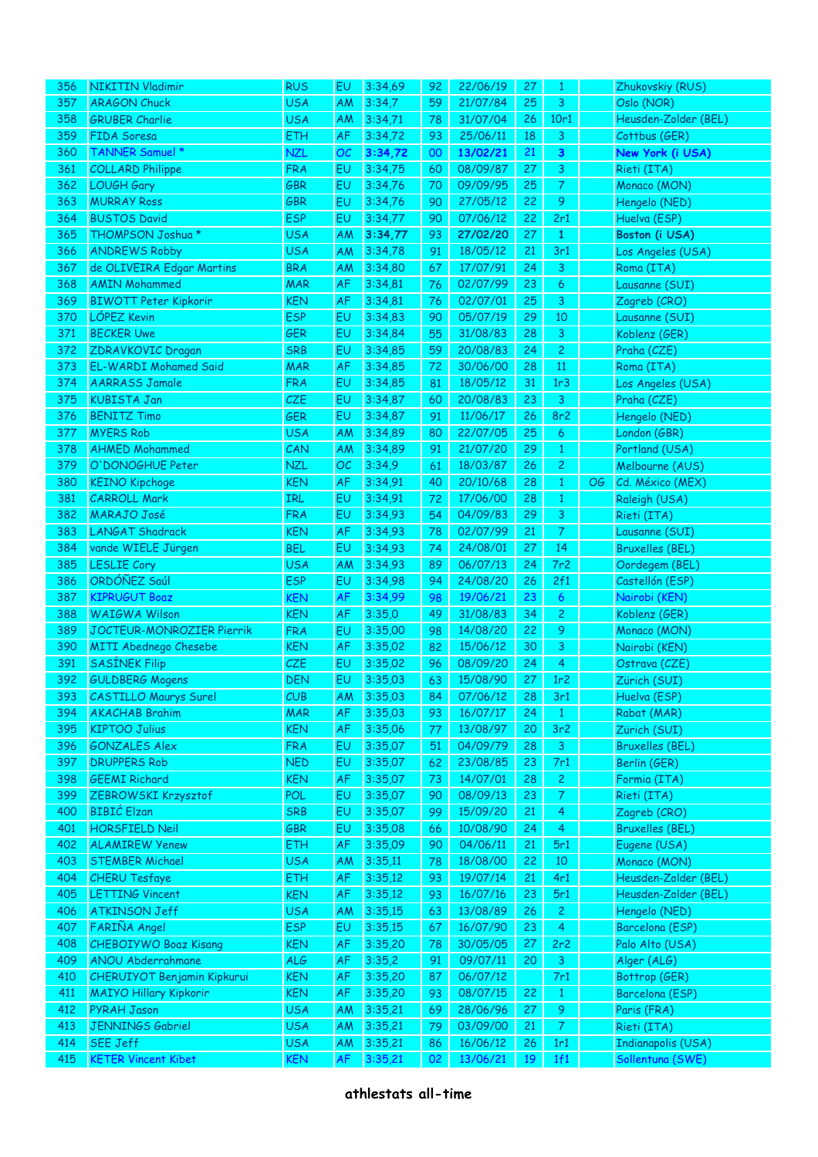| 356 | <b>NIKITIN Vladimir</b>            | <b>RUS</b> | EU        | 3:34,69 | 92 | 22/06/19 | 27 | 1                |    | Zhukovskiy (RUS)       |
|-----|------------------------------------|------------|-----------|---------|----|----------|----|------------------|----|------------------------|
| 357 | <b>ARAGON Chuck</b>                | <b>USA</b> | AM        | 3:34,7  | 59 | 21/07/84 | 25 | 3                |    | Oslo (NOR)             |
| 358 | <b>GRUBER Charlie</b>              | <b>USA</b> | AM        | 3:34,71 | 78 | 31/07/04 | 26 | 10r1             |    | Heusden-Zolder (BEL)   |
| 359 | FIDA Soresa                        | ETH        | AF        | 3:34,72 | 93 | 25/06/11 | 18 | 3                |    | Cottbus (GER)          |
| 360 | TANNER Samuel *                    | <b>NZL</b> | ОC        | 3:34,72 | 00 | 13/02/21 | 21 | 3                |    | New York (i USA)       |
| 361 | <b>COLLARD Philippe</b>            | <b>FRA</b> | EU        | 3:34,75 | 60 | 08/09/87 | 27 | 3                |    | Rieti (ITA)            |
| 362 | LOUGH Gary                         | <b>GBR</b> | EU        | 3:34,76 | 70 | 09/09/95 | 25 | $\mathcal{T}$    |    | Monaco (MON)           |
| 363 | <b>MURRAY Ross</b>                 | GBR        | EU        | 3:34,76 | 90 | 27/05/12 | 22 | 9                |    | Hengelo (NED)          |
|     | <b>BUSTOS David</b>                |            |           |         |    | 07/06/12 |    |                  |    |                        |
| 364 |                                    | <b>ESP</b> | EU        | 3:34,77 | 90 |          | 22 | 2r1              |    | Huelva (ESP)           |
| 365 | THOMPSON Joshua *                  | <b>USA</b> | AM        | 3:34,77 | 93 | 27/02/20 | 27 | $\mathbf{1}$     |    | Boston (i USA)         |
| 366 | <b>ANDREWS Robby</b>               | <b>USA</b> | AM        | 3:34,78 | 91 | 18/05/12 | 21 | 3r1              |    | Los Angeles (USA)      |
| 367 | de OLIVEIRA Edgar Martins          | <b>BRA</b> | AM        | 3:34,80 | 67 | 17/07/91 | 24 | $\mathbf{3}$     |    | Roma (ITA)             |
| 368 | <b>AMIN Mohammed</b>               | <b>MAR</b> | AF        | 3:34,81 | 76 | 02/07/99 | 23 | 6                |    | Lausanne (SUI)         |
| 369 | <b>BIWOTT Peter Kipkorir</b>       | <b>KEN</b> | AF        | 3:34,81 | 76 | 02/07/01 | 25 | 3                |    | Zagreb (CRO)           |
| 370 | LÓPEZ Kevin                        | <b>ESP</b> | EU        | 3:34,83 | 90 | 05/07/19 | 29 | 10               |    | Lausanne (SUI)         |
| 371 | <b>BECKER Uwe</b>                  | <b>GER</b> | EU        | 3:34,84 | 55 | 31/08/83 | 28 | 3                |    | Koblenz (GER)          |
| 372 | ZDRAVKOVIC Dragan                  | <b>SRB</b> | EU        | 3:34,85 | 59 | 20/08/83 | 24 | 2                |    | Praha (CZE)            |
| 373 | <b>EL-WARDI Mohamed Said</b>       | <b>MAR</b> | AF        | 3:34,85 | 72 | 30/06/00 | 28 | 11               |    | Roma (ITA)             |
| 374 | <b>AARRASS Jamale</b>              | <b>FRA</b> | EU        | 3:34,85 | 81 | 18/05/12 | 31 | 1r3              |    | Los Angeles (USA)      |
| 375 | <b>KUBISTA Jan</b>                 | <b>CZE</b> | EU        | 3:34,87 | 60 | 20/08/83 | 23 | 3                |    | Praha (CZE)            |
| 376 | <b>BENITZ Timo</b>                 | <b>GER</b> | EU        | 3:34,87 | 91 | 11/06/17 | 26 | 8r2              |    | Hengelo (NED)          |
| 377 | <b>MYERS Rob</b>                   | <b>USA</b> | AM        | 3:34,89 | 80 | 22/07/05 | 25 | 6                |    | London (GBR)           |
| 378 | <b>AHMED Mohammed</b>              | CAN        | AM        | 3:34,89 | 91 | 21/07/20 | 29 | $\mathbf{1}$     |    | Portland (USA)         |
| 379 | O'DONOGHUE Peter                   | <b>NZL</b> | OC        | 3:34,9  | 61 | 18/03/87 | 26 | 2                |    | Melbourne (AUS)        |
|     |                                    |            |           | 3:34,91 |    | 20/10/68 |    |                  |    |                        |
| 380 | <b>KEINO Kipchoge</b>              | <b>KEN</b> | AF        |         | 40 |          | 28 | $\mathbf{1}$     | OG | Cd. México (MEX)       |
| 381 | <b>CARROLL Mark</b>                | IRL        | EU        | 3:34,91 | 72 | 17/06/00 | 28 | $\mathbf{1}$     |    | Raleigh (USA)          |
| 382 | <b>MARAJO José</b>                 | <b>FRA</b> | EU        | 3:34,93 | 54 | 04/09/83 | 29 | 3                |    | Rieti (ITA)            |
| 383 | <b>LANGAT Shadrack</b>             | <b>KEN</b> | AF        | 3:34,93 | 78 | 02/07/99 | 21 | $\mathcal{T}$    |    | Lausanne (SUI)         |
| 384 | vande WIELE Jürgen                 | <b>BEL</b> | EU        | 3:34,93 | 74 | 24/08/01 | 27 | 14               |    | <b>Bruxelles (BEL)</b> |
| 385 | <b>LESLIE Cory</b>                 | <b>USA</b> | AM        | 3:34,93 | 89 | 06/07/13 | 24 | 7r2              |    | Oordegem (BEL)         |
| 386 | ORDÓÑEZ Saúl                       | <b>ESP</b> | EU        | 3:34,98 | 94 | 24/08/20 | 26 | 2f1              |    | Castellón (ESP)        |
| 387 | <b>KIPRUGUT Boaz</b>               | <b>KEN</b> | AF        | 3:34,99 | 98 | 19/06/21 | 23 | $\boldsymbol{6}$ |    | Nairobi (KEN)          |
| 388 | <b>WAIGWA Wilson</b>               | <b>KEN</b> | AF        | 3:35,0  | 49 | 31/08/83 | 34 | 2                |    | Koblenz (GER)          |
| 389 | JOCTEUR-MONROZIER Pierrik          | <b>FRA</b> | EU        | 3:35,00 | 98 | 14/08/20 | 22 | 9                |    | Monaco (MON)           |
| 390 | <b>MITI Abednego Chesebe</b>       | <b>KEN</b> | AF        | 3:35,02 | 82 | 15/06/12 | 30 | 3                |    | Nairobi (KEN)          |
| 391 | <b>SASÍNEK Filip</b>               | <b>CZE</b> | EU        | 3:35,02 | 96 | 08/09/20 | 24 | $\overline{4}$   |    | Ostrava (CZE)          |
| 392 | <b>GULDBERG Mogens</b>             | <b>DEN</b> | EU        | 3:35,03 | 63 | 15/08/90 | 27 | 1r2              |    | Zürich (SUI)           |
| 393 | <b>CASTILLO Maurys Surel</b>       | CUB.       | AM        | 3:35,03 | 84 | 07/06/12 | 28 | 3r1              |    | Huelva (ESP)           |
| 394 | <b>AKACHAB Brahim</b>              | <b>MAR</b> | AF        | 3:35,03 | 93 | 16/07/17 | 24 | $\mathbf{1}$     |    | Rabat (MAR)            |
| 395 | <b>KIPTOO Julius</b>               | <b>KEN</b> | AF        | 3:35,06 | 77 | 13/08/97 | 20 | 3r2              |    | Zürich (SUI)           |
| 396 | <b>GONZALES Alex</b>               | <b>FRA</b> | EU        | 3:35,07 | 51 | 04/09/79 | 28 | $\mathbf{3}$     |    | <b>Bruxelles (BEL)</b> |
| 397 | <b>DRUPPERS Rob</b>                | <b>NED</b> | EU        | 3:35,07 | 62 | 23/08/85 | 23 | 7r1              |    | Berlin (GER)           |
| 398 | <b>GEEMI Richard</b>               | <b>KEN</b> | AF        | 3:35,07 | 73 | 14/07/01 | 28 | $\overline{2}$   |    | Formia (ITA)           |
| 399 | ZEBROWSKI Krzysztof                | POL        | EU        | 3:35,07 | 90 | 08/09/13 | 23 | $\mathcal{T}$    |    | Rieti (ITA)            |
| 400 | <b>BIBIĆ</b> Elzan                 | <b>SRB</b> | EU        | 3:35,07 | 99 | 15/09/20 | 21 | $\overline{4}$   |    | Zagreb (CRO)           |
|     |                                    |            |           |         |    |          |    |                  |    |                        |
| 401 | <b>HORSFIELD Neil</b>              | GBR        | EU        | 3:35,08 | 66 | 10/08/90 | 24 | $\overline{4}$   |    | <b>Bruxelles (BEL)</b> |
| 402 | <b>ALAMIREW Yenew</b>              | ETH        | AF        | 3:35,09 | 90 | 04/06/11 | 21 | 5r1              |    | Eugene (USA)           |
| 403 | <b>STEMBER Michael</b>             | <b>USA</b> | AM        | 3:35,11 | 78 | 18/08/00 | 22 | 10               |    | Monaco (MON)           |
| 404 | <b>CHERU Tesfaye</b>               | <b>ETH</b> | AF        | 3:35,12 | 93 | 19/07/14 | 21 | 4r1              |    | Heusden-Zolder (BEL)   |
| 405 | <b>LETTING Vincent</b>             | <b>KEN</b> | AF        | 3:35,12 | 93 | 16/07/16 | 23 | 5r1              |    | Heusden-Zolder (BEL)   |
| 406 | <b>ATKINSON Jeff</b>               | <b>USA</b> | AM        | 3:35,15 | 63 | 13/08/89 | 26 | $\overline{2}$   |    | Hengelo (NED)          |
| 407 | FARIÑA Angel                       | <b>ESP</b> | EU        | 3:35,15 | 67 | 16/07/90 | 23 | $\overline{4}$   |    | Barcelona (ESP)        |
| 408 | <b>CHEBOIYWO Boaz Kisang</b>       | <b>KEN</b> | AF        | 3:35,20 | 78 | 30/05/05 | 27 | 2r2              |    | Palo Alto (USA)        |
| 409 | ANOU Abderrahmane                  | ALG        | AF        | 3:35,2  | 91 | 09/07/11 | 20 | $\mathbf{3}$     |    | Alger (ALG)            |
| 410 | <b>CHERUIYOT Benjamin Kipkurui</b> | <b>KEN</b> | AF        | 3:35,20 | 87 | 06/07/12 |    | 7r1              |    | Bottrop (GER)          |
| 411 | <b>MAIYO Hillary Kipkorir</b>      | <b>KEN</b> | AF        | 3:35,20 | 93 | 08/07/15 | 22 | $\mathbf{1}$     |    | Barcelona (ESP)        |
| 412 | <b>PYRAH Jason</b>                 | <b>USA</b> | AM        | 3:35,21 | 69 | 28/06/96 | 27 | 9                |    | Paris (FRA)            |
| 413 | <b>JENNINGS Gabriel</b>            | <b>USA</b> | AM        | 3:35,21 | 79 | 03/09/00 | 21 | $\mathcal{T}$    |    | Rieti (ITA)            |
| 414 | <b>SEE Jeff</b>                    | <b>USA</b> | AM        | 3:35,21 | 86 | 16/06/12 | 26 | 1r1              |    | Indianapolis (USA)     |
| 415 | <b>KETER Vincent Kibet</b>         | <b>KEN</b> | <b>AF</b> | 3:35,21 | 02 | 13/06/21 | 19 | 1f1              |    | Sollentuna (SWE)       |
|     |                                    |            |           |         |    |          |    |                  |    |                        |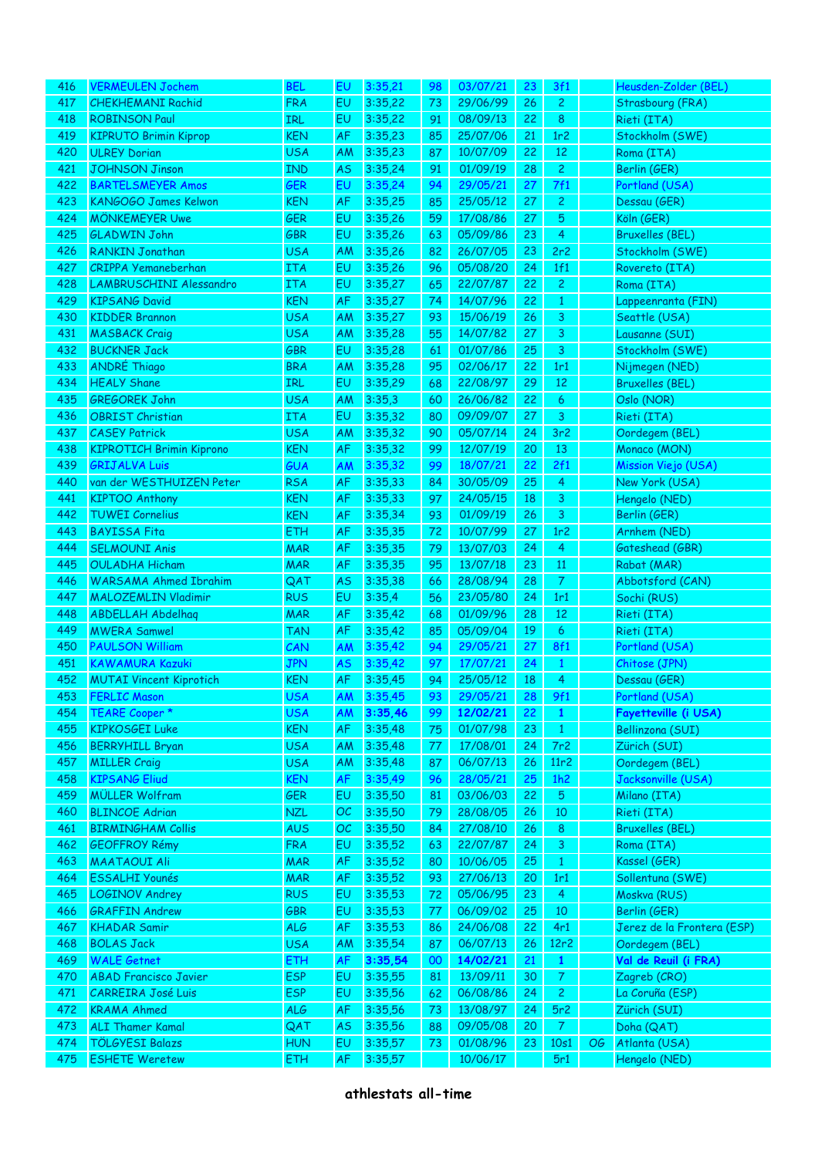| 416        | <b>VERMEULEN Jochem</b>                  | <b>BEL</b>        | E <sub>U</sub> | 3:35,21            | 98 | 03/07/21             | 23 | 3f1              |    | Heusden-Zolder (BEL)           |
|------------|------------------------------------------|-------------------|----------------|--------------------|----|----------------------|----|------------------|----|--------------------------------|
|            |                                          |                   |                |                    |    |                      |    |                  |    |                                |
| 417        | <b>CHEKHEMANI Rachid</b>                 | <b>FRA</b>        | EU             | 3:35,22            | 73 | 29/06/99             | 26 | $\mathbf{2}$     |    | Strasbourg (FRA)               |
| 418        | <b>ROBINSON Paul</b>                     | IRL               | EU             | 3:35,22            | 91 | 08/09/13             | 22 | 8                |    | Rieti (ITA)                    |
| 419        | <b>KIPRUTO Brimin Kiprop</b>             | <b>KEN</b>        | AF             | 3:35,23            | 85 | 25/07/06             | 21 | 1r2              |    | Stockholm (SWE)                |
| 420        | <b>ULREY Dorian</b>                      | <b>USA</b>        | AM             | 3:35,23            | 87 | 10/07/09             | 22 | 12               |    | Roma (ITA)                     |
| 421        | <b>JOHNSON Jinson</b>                    | <b>IND</b>        | <b>AS</b>      | 3:35,24            | 91 | 01/09/19             | 28 | $\overline{c}$   |    | Berlin (GER)                   |
| 422        | <b>BARTELSMEYER Amos</b>                 | <b>GER</b>        | EU             | 3:35,24            | 94 | 29/05/21             | 27 | 7f1              |    | Portland (USA)                 |
|            |                                          |                   |                |                    |    |                      |    |                  |    |                                |
| 423        | KANGOGO James Kelwon                     | <b>KEN</b>        | AF             | 3:35,25            | 85 | 25/05/12             | 27 | $\overline{c}$   |    | Dessau (GER)                   |
| 424        | <b>MÖNKEMEYER Uwe</b>                    | <b>GER</b>        | EU             | 3:35,26            | 59 | 17/08/86             | 27 | 5                |    | Köln (GER)                     |
| 425        | <b>GLADWIN John</b>                      | <b>GBR</b>        | EU             | 3:35,26            | 63 | 05/09/86             | 23 | 4                |    | <b>Bruxelles (BEL)</b>         |
| 426        | <b>RANKIN Jonathan</b>                   | <b>USA</b>        | AM             | 3:35,26            | 82 | 26/07/05             | 23 | 2r2              |    | Stockholm (SWE)                |
| 427        | <b>CRIPPA Yemaneberhan</b>               | <b>ITA</b>        | EU             | 3:35,26            | 96 | 05/08/20             | 24 | 1f1              |    | Rovereto (ITA)                 |
| 428        | LAMBRUSCHINI Alessandro                  | <b>ITA</b>        | EU             | 3:35,27            | 65 | 22/07/87             | 22 | $\overline{c}$   |    | Roma (ITA)                     |
|            |                                          |                   |                |                    |    |                      |    |                  |    |                                |
| 429        | <b>KIPSANG David</b>                     | <b>KEN</b>        | AF             | 3:35,27            | 74 | 14/07/96             | 22 | $\mathbf{1}$     |    | Lappeenranta (FIN)             |
| 430        | <b>KIDDER Brannon</b>                    | <b>USA</b>        | AM             | 3:35,27            | 93 | 15/06/19             | 26 | 3                |    | Seattle (USA)                  |
| 431        | <b>MASBACK Craig</b>                     | <b>USA</b>        | AM             | 3:35,28            | 55 | 14/07/82             | 27 | 3                |    | Lausanne (SUI)                 |
| 432        | <b>BUCKNER Jack</b>                      | <b>GBR</b>        | EU             | 3:35,28            | 61 | 01/07/86             | 25 | 3                |    | Stockholm (SWE)                |
| 433        | <b>ANDRÉ Thiago</b>                      | <b>BRA</b>        | AM             | 3:35,28            | 95 | 02/06/17             | 22 | 1r1              |    | Nijmegen (NED)                 |
| 434        | <b>HEALY Shane</b>                       | <b>IRL</b>        | EU             | 3:35,29            | 68 | 22/08/97             | 29 | 12               |    | <b>Bruxelles (BEL)</b>         |
| 435        | <b>GREGOREK John</b>                     | <b>USA</b>        | AM             | 3:35,3             | 60 | 26/06/82             | 22 | 6                |    | Oslo (NOR)                     |
|            |                                          |                   |                |                    |    |                      |    |                  |    |                                |
| 436        | <b>OBRIST Christian</b>                  | <b>ITA</b>        | EU             | 3:35,32            | 80 | 09/09/07             | 27 | 3                |    | Rieti (ITA)                    |
| 437        | <b>CASEY Patrick</b>                     | <b>USA</b>        | AM             | 3:35,32            | 90 | 05/07/14             | 24 | 3r <sub>2</sub>  |    | Oordegem (BEL)                 |
| 438        | <b>KIPROTICH Brimin Kiprono</b>          | <b>KEN</b>        | AF             | 3:35,32            | 99 | 12/07/19             | 20 | 13               |    | Monaco (MON)                   |
| 439        | <b>GRIJALVA Luis</b>                     | <b>GUA</b>        | AM             | 3:35,32            | 99 | 18/07/21             | 22 | 2f1              |    | Mission Viejo (USA)            |
| 440        | van der WESTHUIZEN Peter                 | <b>RSA</b>        | AF             | 3:35,33            | 84 | 30/05/09             | 25 | 4                |    | New York (USA)                 |
| 441        | <b>KIPTOO Anthony</b>                    | <b>KEN</b>        | AF             | 3:35,33            | 97 | 24/05/15             | 18 | 3                |    | Hengelo (NED)                  |
|            |                                          |                   |                |                    |    |                      |    |                  |    |                                |
| 442        | <b>TUWEI Cornelius</b>                   | <b>KEN</b>        | AF             | 3:35,34            | 93 | 01/09/19             | 26 | 3                |    | Berlin (GER)                   |
| 443        | <b>BAYISSA Fita</b>                      | ETH               | AF             | 3:35,35            | 72 | 10/07/99             | 27 | 1r <sub>2</sub>  |    | Arnhem (NED)                   |
| 444        | <b>SELMOUNI Anis</b>                     | <b>MAR</b>        | AF             | 3:35,35            | 79 | 13/07/03             | 24 | 4                |    | Gateshead (GBR)                |
|            |                                          |                   |                |                    |    |                      | 23 | 11               |    | Rabat (MAR)                    |
| 445        | <b>OULADHA Hicham</b>                    | <b>MAR</b>        | AF             | 3:35,35            | 95 | 13/07/18             |    |                  |    |                                |
| 446        | <b>WARSAMA Ahmed Ibrahim</b>             | QAT               | <b>AS</b>      | 3:35,38            | 66 | 28/08/94             | 28 | $\mathcal{T}$    |    | Abbotsford (CAN)               |
|            |                                          |                   |                |                    |    |                      |    |                  |    |                                |
| 447        | <b>MALOZEMLIN Vladimir</b>               | <b>RUS</b>        | EU             | 3:35,4             | 56 | 23/05/80             | 24 | 1r1              |    | Sochi (RUS)                    |
| 448        | <b>ABDELLAH Abdelhag</b>                 | <b>MAR</b>        | AF             | 3:35,42            | 68 | 01/09/96             | 28 | 12               |    | Rieti (ITA)                    |
| 449        | <b>MWERA Samwel</b>                      | <b>TAN</b>        | AF             | 3:35,42            | 85 | 05/09/04             | 19 | $\boldsymbol{6}$ |    | Rieti (ITA)                    |
| 450        | <b>PAULSON William</b>                   | CAN               | AM             | 3:35,42            | 94 | 29/05/21             | 27 | <b>8f1</b>       |    | Portland (USA)                 |
| 451        | <b>KAWAMURA Kazuki</b>                   | <b>JPN</b>        | <b>AS</b>      | 3:35,42            | 97 | 17/07/21             | 24 | $\mathbf{1}$     |    | Chitose (JPN)                  |
| 452        | <b>MUTAI Vincent Kiprotich</b>           | <b>KEN</b>        | AF             | 3:35,45            | 94 | 25/05/12             | 18 | 4                |    | Dessau (GER)                   |
| 453        | <b>FERLIC Mason</b>                      | USA               | AM             | 3:35,45            | 93 | 29/05/21             | 28 | 9f1              |    | Portland (USA)                 |
| 454        | TEARE Cooper *                           | <b>USA</b>        | <b>AM</b>      | 3:35,46            | 99 | 12/02/21             | 22 | $\mathbf{1}$     |    | Fayetteville (i USA)           |
|            | <b>KIPKOSGEI Luke</b>                    |                   |                |                    |    |                      |    |                  |    |                                |
| 455        |                                          | <b>KEN</b>        | AF             | 3:35,48            | 75 | 01/07/98             | 23 | $\mathbf{1}$     |    | Bellinzona (SUI)               |
| 456        | <b>BERRYHILL Bryan</b>                   | <b>USA</b>        | AM             | 3:35,48            | 77 | 17/08/01             | 24 | 7r2              |    | Zürich (SUI)                   |
| 457        | <b>MILLER Craig</b>                      | <b>USA</b>        | AM             | 3:35,48            | 87 | 06/07/13             | 26 | 11r2             |    | Oordegem (BEL)                 |
| 458        | <b>KIPSANG Eliud</b>                     | <b>KEN</b>        | AF             | 3:35,49            | 96 | 28/05/21             | 25 | 1h2              |    | Jacksonville (USA)             |
| 459        | <b>MÜLLER Wolfram</b>                    | GER               | EU             | 3:35,50            | 81 | 03/06/03             | 22 | $\overline{5}$   |    | Milano (ITA)                   |
| 460        | <b>BLINCOE Adrian</b>                    | <b>NZL</b>        | OC             | 3:35,50            | 79 | 28/08/05             | 26 | $10\,$           |    | Rieti (ITA)                    |
| 461        | <b>BIRMINGHAM Collis</b>                 | <b>AUS</b>        | OC             | 3:35,50            | 84 | 27/08/10             | 26 | 8 <sup>°</sup>   |    | <b>Bruxelles (BEL)</b>         |
| 462        |                                          |                   |                |                    | 63 |                      |    |                  |    |                                |
|            | <b>GEOFFROY Rémy</b>                     | <b>FRA</b>        | EU             | 3:35,52            |    | 22/07/87             | 24 | $\mathbf{3}$     |    | Roma (ITA)                     |
| 463        | <b>MAATAOUI Ali</b>                      | <b>MAR</b>        | AF             | 3:35,52            | 80 | 10/06/05             | 25 | $\mathbf{1}$     |    | Kassel (GER)                   |
| 464        | <b>ESSALHI Younés</b>                    | <b>MAR</b>        | AF             | 3:35,52            | 93 | 27/06/13             | 20 | 1r1              |    | Sollentuna (SWE)               |
| 465        | <b>LOGINOV Andrey</b>                    | <b>RUS</b>        | EU             | 3:35,53            | 72 | 05/06/95             | 23 | $\overline{4}$   |    | Moskva (RUS)                   |
| 466        | <b>GRAFFIN Andrew</b>                    | <b>GBR</b>        | EU             | 3:35,53            | 77 | 06/09/02             | 25 | 10               |    | Berlin (GER)                   |
| 467        | <b>KHADAR Samir</b>                      | <b>ALG</b>        | AF             | 3:35,53            | 86 | 24/06/08             | 22 | 4r1              |    | Jerez de la Frontera (ESP)     |
| 468        | <b>BOLAS Jack</b>                        | <b>USA</b>        | AM             | 3:35,54            | 87 | 06/07/13             | 26 | 12r2             |    | Oordegem (BEL)                 |
| 469        |                                          |                   |                |                    | 00 |                      |    | $\mathbf{1}$     |    |                                |
|            | <b>WALE Getnet</b>                       | ETH               | AF             | 3:35,54            |    | 14/02/21             | 21 |                  |    | Val de Reuil (i FRA)           |
| 470        | <b>ABAD Francisco Javier</b>             | <b>ESP</b>        | EU             | 3:35,55            | 81 | 13/09/11             | 30 | $\mathcal{T}$    |    | Zagreb (CRO)                   |
| 471        | <b>CARREIRA José Luis</b>                | <b>ESP</b>        | EU             | 3:35,56            | 62 | 06/08/86             | 24 | $\overline{c}$   |    | La Coruña (ESP)                |
| 472        | <b>KRAMA Ahmed</b>                       | <b>ALG</b>        | AF             | 3:35,56            | 73 | 13/08/97             | 24 | 5r2              |    | Zürich (SUI)                   |
| 473        | <b>ALI Thamer Kamal</b>                  | QAT               | <b>AS</b>      | 3:35,56            | 88 | 09/05/08             | 20 | $\mathcal{T}$    |    | Doha (QAT)                     |
| 474<br>475 | TÖLGYESI Balazs<br><b>ESHETE Weretew</b> | <b>HUN</b><br>ETH | EU<br>AF       | 3:35,57<br>3:35,57 | 73 | 01/08/96<br>10/06/17 | 23 | 10s1<br>5r1      | OG | Atlanta (USA)<br>Hengelo (NED) |